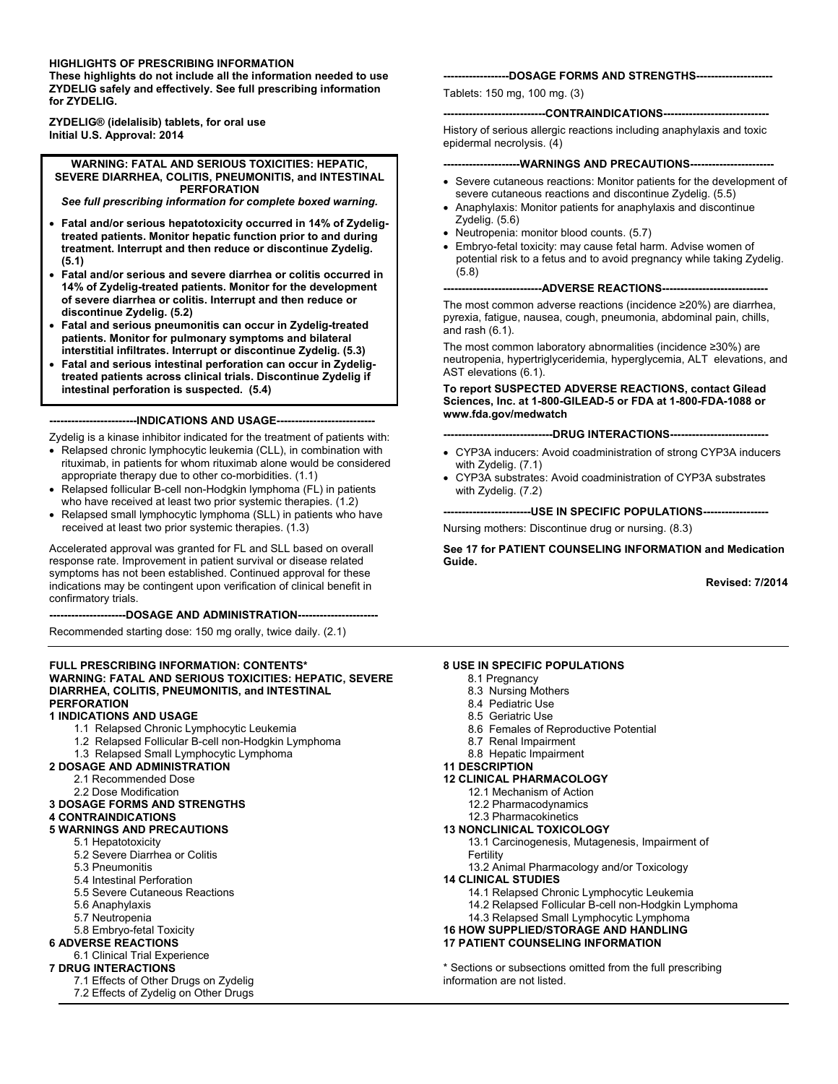#### **HIGHLIGHTS OF PRESCRIBING INFORMATION**

**These highlights do not include all the information needed to use ZYDELIG safely and effectively. See full prescribing information for ZYDELIG.**

**ZYDELIG® (idelalisib) tablets, for oral use Initial U.S. Approval: 2014**

**WARNING: FATAL AND SERIOUS TOXICITIES: HEPATIC, SEVERE DIARRHEA, COLITIS, PNEUMONITIS, and INTESTINAL PERFORATION**

*See full prescribing information for complete boxed warning.*

- x **Fatal and/or serious hepatotoxicity occurred in 14% of Zydeligtreated patients. Monitor hepatic function prior to and during treatment. Interrupt and then reduce or discontinue Zydelig. (5.1)**
- x **Fatal and/or serious and severe diarrhea or colitis occurred in 14% of Zydelig-treated patients. Monitor for the development of severe diarrhea or colitis. Interrupt and then reduce or discontinue Zydelig. (5.2)**
- x **Fatal and serious pneumonitis can occur in Zydelig-treated patients. Monitor for pulmonary symptoms and bilateral interstitial infiltrates. Interrupt or discontinue Zydelig. (5.3)**
- **Eatal and serious intestinal perforation can occur in Zydeligtreated patients across clinical trials. Discontinue Zydelig if intestinal perforation is suspected. (5.4)**

**------------------------INDICATIONS AND USAGE---------------------------**

Zydelig is a kinase inhibitor indicated for the treatment of patients with:

- Relapsed chronic lymphocytic leukemia (CLL), in combination with rituximab, in patients for whom rituximab alone would be considered appropriate therapy due to other co-morbidities. (1.1)
- Relapsed follicular B-cell non-Hodgkin lymphoma (FL) in patients who have received at least two prior systemic therapies. (1.2)
- Relapsed small lymphocytic lymphoma (SLL) in patients who have received at least two prior systemic therapies. (1.3)

Accelerated approval was granted for FL and SLL based on overall response rate. Improvement in patient survival or disease related symptoms has not been established. Continued approval for these indications may be contingent upon verification of clinical benefit in confirmatory trials.

**---------------------DOSAGE AND ADMINISTRATION----------------------**

Recommended starting dose: 150 mg orally, twice daily. (2.1)

#### **FULL PRESCRIBING INFORMATION: CONTENTS\* WARNING: FATAL AND SERIOUS TOXICITIES: HEPATIC, SEVERE DIARRHEA, COLITIS, PNEUMONITIS, and INTESTINAL PERFORATION**

#### **1 INDICATIONS AND USAGE**

- 1.1 Relapsed Chronic Lymphocytic Leukemia
- 1.2 Relapsed Follicular B-cell non-Hodgkin Lymphoma
- 1.3 Relapsed Small Lymphocytic Lymphoma
- **2 DOSAGE AND ADMINISTRATION**
	- 2.1 Recommended Dose
		- 2.2 Dose Modification

#### **3 DOSAGE FORMS AND STRENGTHS**

#### **4 CONTRAINDICATIONS**

#### **5 WARNINGS AND PRECAUTIONS**

- 5.1 Hepatotoxicity
- 5.2 Severe Diarrhea or Colitis
- 5.3 Pneumonitis
- 5.4 Intestinal Perforation
- 5.5 Severe Cutaneous Reactions
- 5.6 Anaphylaxis
- 5.7 Neutropenia

#### 5.8 Embryo-fetal Toxicity

**6 ADVERSE REACTIONS**

#### 6.1 Clinical Trial Experience

#### **7 DRUG INTERACTIONS**

- 7.1 Effects of Other Drugs on Zydelig
- 7.2 Effects of Zydelig on Other Drugs

#### **------------------DOSAGE FORMS AND STRENGTHS---------------------**

Tablets: 150 mg, 100 mg. (3)

#### **----------------------------CONTRAINDICATIONS-----------------------------**

History of serious allergic reactions including anaphylaxis and toxic epidermal necrolysis. (4)

#### --WARNINGS AND PRECAUTIONS--

- Severe cutaneous reactions: Monitor patients for the development of severe cutaneous reactions and discontinue Zydelig. (5.5)
- Anaphylaxis: Monitor patients for anaphylaxis and discontinue Zydelig. (5.6)
- Neutropenia: monitor blood counts. (5.7)
- Embryo-fetal toxicity: may cause fetal harm. Advise women of potential risk to a fetus and to avoid pregnancy while taking Zydelig. (5.8)

**---------------------------ADVERSE REACTIONS-----------------------------**

The most common adverse reactions (incidence  $\geq$ 20%) are diarrhea. pyrexia, fatigue, nausea, cough, pneumonia, abdominal pain, chills, and rash (6.1).

The most common laboratory abnormalities (incidence  $\geq$ 30%) are neutropenia, hypertriglyceridemia, hyperglycemia, ALT elevations, and AST elevations (6.1).

#### **To report SUSPECTED ADVERSE REACTIONS, contact Gilead Sciences, Inc. at 1-800-GILEAD-5 or FDA at 1-800-FDA-1088 or www.fda.gov/medwatch**

**------------------------------DRUG INTERACTIONS---------------------------**

- CYP3A inducers: Avoid coadministration of strong CYP3A inducers with Zydelig. (7.1)
- CYP3A substrates: Avoid coadministration of CYP3A substrates with Zydelig. (7.2)

**------------------------USE IN SPECIFIC POPULATIONS------------------**

Nursing mothers: Discontinue drug or nursing. (8.3)

**See 17 for PATIENT COUNSELING INFORMATION and Medication Guide.**

**Revised: 7/2014**

#### **8 USE IN SPECIFIC POPULATIONS**

- 8.1 Pregnancy
- 8.3 Nursing Mothers
- 8.4 Pediatric Use
- 8.5 Geriatric Use
- 8.6 Females of Reproductive Potential
- 8.7 Renal Impairment
- 8.8 Hepatic Impairment

#### **11 DESCRIPTION**

- **12 CLINICAL PHARMACOLOGY**
	- 12.1 Mechanism of Action
	- 12.2 Pharmacodynamics

#### 12.3 Pharmacokinetics

- **13 NONCLINICAL TOXICOLOGY**
	- 13.1 Carcinogenesis, Mutagenesis, Impairment of Fertility
	- 13.2 Animal Pharmacology and/or Toxicology
- **14 CLINICAL STUDIES**
	- 14.1 Relapsed Chronic Lymphocytic Leukemia
	- 14.2 Relapsed Follicular B-cell non-Hodgkin Lymphoma
	- 14.3 Relapsed Small Lymphocytic Lymphoma

#### **16 HOW SUPPLIED/STORAGE AND HANDLING 17 PATIENT COUNSELING INFORMATION**

\* Sections or subsections omitted from the full prescribing information are not listed.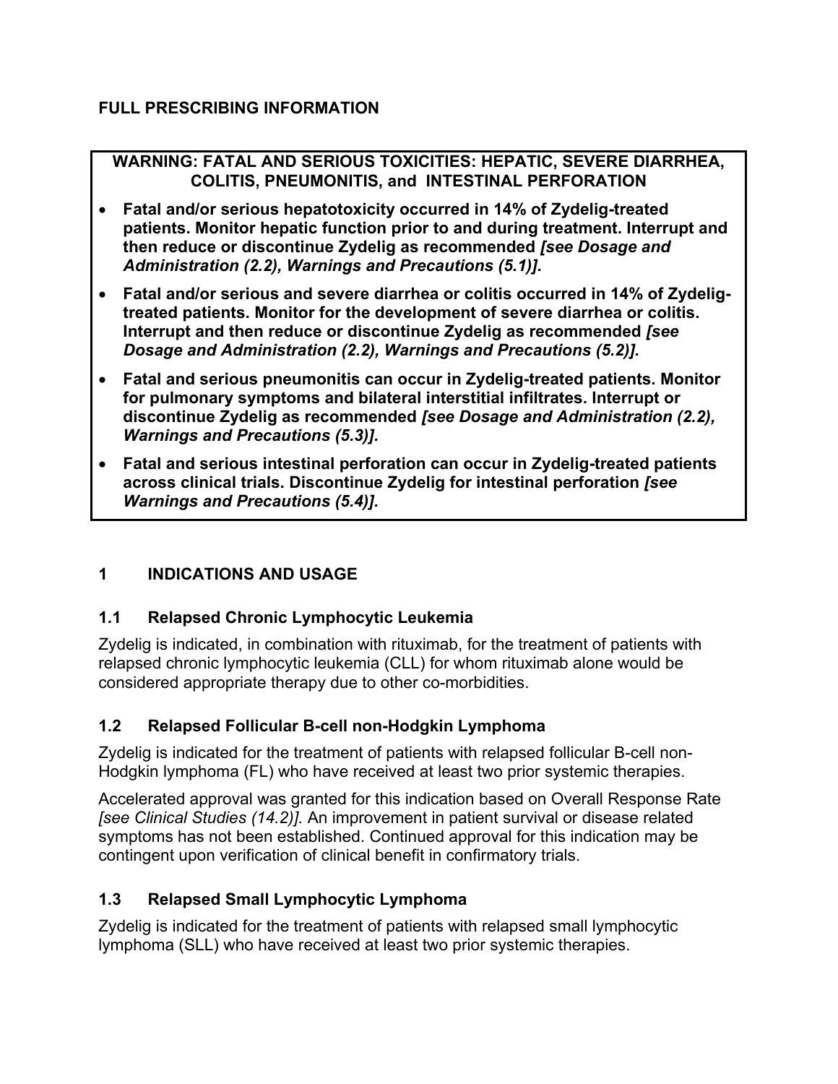### **FULL PRESCRIBING INFORMATION**

### **WARNING: FATAL AND SERIOUS TOXICITIES: HEPATIC, SEVERE DIARRHEA, COLITIS, PNEUMONITIS, and INTESTINAL PERFORATION**

- x **Fatal and/or serious hepatotoxicity occurred in 14% of Zydelig-treated patients. Monitor hepatic function prior to and during treatment. Interrupt and then reduce or discontinue Zydelig as recommended** *[see Dosage and Administration (2.2), Warnings and Precautions (5.1)].*
- x **Fatal and/or serious and severe diarrhea or colitis occurred in 14% of Zydeligtreated patients. Monitor for the development of severe diarrhea or colitis. Interrupt and then reduce or discontinue Zydelig as recommended** *[see Dosage and Administration (2.2), Warnings and Precautions (5.2)].*
- x **Fatal and serious pneumonitis can occur in Zydelig-treated patients. Monitor for pulmonary symptoms and bilateral interstitial infiltrates. Interrupt or discontinue Zydelig as recommended** *[see Dosage and Administration (2.2), Warnings and Precautions (5.3)].*
- x **Fatal and serious intestinal perforation can occur in Zydelig-treated patients across clinical trials. Discontinue Zydelig for intestinal perforation** *[see Warnings and Precautions (5.4)].*

# **1 INDICATIONS AND USAGE**

# **1.1 Relapsed Chronic Lymphocytic Leukemia**

Zydelig is indicated, in combination with rituximab, for the treatment of patients with relapsed chronic lymphocytic leukemia (CLL) for whom rituximab alone would be considered appropriate therapy due to other co-morbidities.

# **1.2 Relapsed Follicular B-cell non-Hodgkin Lymphoma**

Zydelig is indicated for the treatment of patients with relapsed follicular B-cell non-Hodgkin lymphoma (FL) who have received at least two prior systemic therapies.

Accelerated approval was granted for this indication based on Overall Response Rate *[see Clinical Studies (14.2)].* An improvement in patient survival or disease related symptoms has not been established. Continued approval for this indication may be contingent upon verification of clinical benefit in confirmatory trials.

# **1.3 Relapsed Small Lymphocytic Lymphoma**

Zydelig is indicated for the treatment of patients with relapsed small lymphocytic lymphoma (SLL) who have received at least two prior systemic therapies.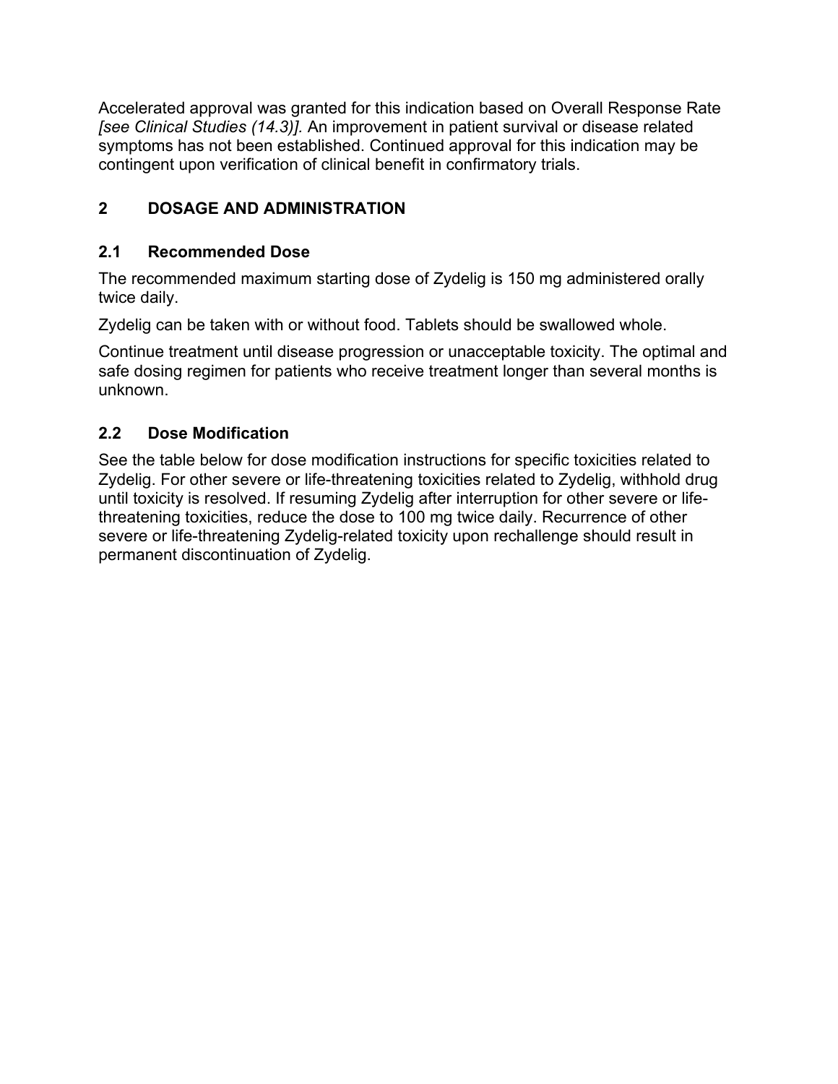Accelerated approval was granted for this indication based on Overall Response Rate *[see Clinical Studies (14.3)].* An improvement in patient survival or disease related symptoms has not been established. Continued approval for this indication may be contingent upon verification of clinical benefit in confirmatory trials.

# **2 DOSAGE AND ADMINISTRATION**

# **2.1 Recommended Dose**

The recommended maximum starting dose of Zydelig is 150 mg administered orally twice daily.

Zydelig can be taken with or without food. Tablets should be swallowed whole.

Continue treatment until disease progression or unacceptable toxicity. The optimal and safe dosing regimen for patients who receive treatment longer than several months is unknown.

# **2.2 Dose Modification**

See the table below for dose modification instructions for specific toxicities related to Zydelig. For other severe or life-threatening toxicities related to Zydelig, withhold drug until toxicity is resolved. If resuming Zydelig after interruption for other severe or lifethreatening toxicities, reduce the dose to 100 mg twice daily. Recurrence of other severe or life-threatening Zydelig-related toxicity upon rechallenge should result in permanent discontinuation of Zydelig.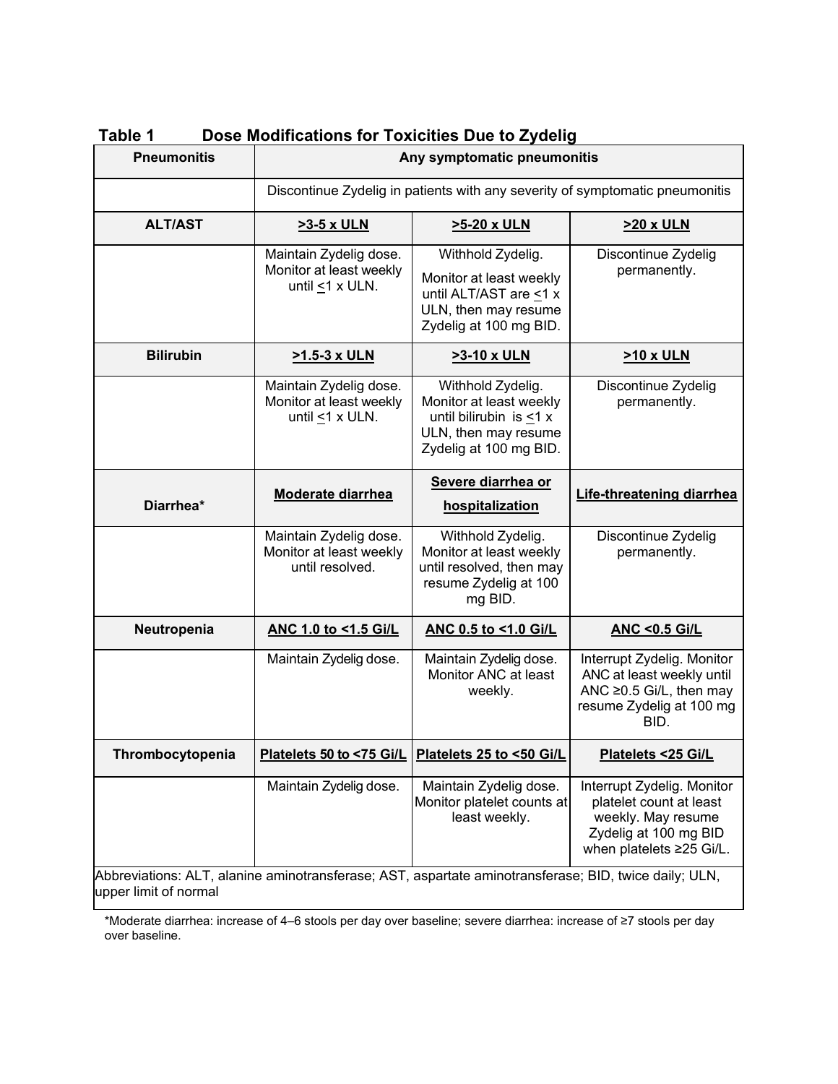| <b>Pneumonitis</b>                                                                                    | Any symptomatic pneumonitis                                                  |                                                                                                                              |                                                                                                                                  |
|-------------------------------------------------------------------------------------------------------|------------------------------------------------------------------------------|------------------------------------------------------------------------------------------------------------------------------|----------------------------------------------------------------------------------------------------------------------------------|
|                                                                                                       | Discontinue Zydelig in patients with any severity of symptomatic pneumonitis |                                                                                                                              |                                                                                                                                  |
| <b>ALT/AST</b>                                                                                        | >3-5 x ULN                                                                   | >5-20 x ULN                                                                                                                  | >20 x ULN                                                                                                                        |
|                                                                                                       | Maintain Zydelig dose.<br>Monitor at least weekly<br>until <1 x ULN.         | Withhold Zydelig.<br>Monitor at least weekly<br>until ALT/AST are <1 x<br>ULN, then may resume<br>Zydelig at 100 mg BID.     | Discontinue Zydelig<br>permanently.                                                                                              |
| <b>Bilirubin</b>                                                                                      | >1.5-3 x ULN                                                                 | >3-10 x ULN                                                                                                                  | <b>&gt;10 x ULN</b>                                                                                                              |
|                                                                                                       | Maintain Zydelig dose.<br>Monitor at least weekly<br>until $\leq$ 1 x ULN.   | Withhold Zydelig.<br>Monitor at least weekly<br>until bilirubin is $<$ 1 x<br>ULN, then may resume<br>Zydelig at 100 mg BID. | Discontinue Zydelig<br>permanently.                                                                                              |
|                                                                                                       | <b>Moderate diarrhea</b>                                                     | Severe diarrhea or                                                                                                           | Life-threatening diarrhea                                                                                                        |
| Diarrhea*                                                                                             |                                                                              | hospitalization                                                                                                              |                                                                                                                                  |
|                                                                                                       | Maintain Zydelig dose.<br>Monitor at least weekly<br>until resolved.         | Withhold Zydelig.<br>Monitor at least weekly<br>until resolved, then may<br>resume Zydelig at 100<br>mg BID.                 | Discontinue Zydelig<br>permanently.                                                                                              |
| Neutropenia                                                                                           | ANC 1.0 to <1.5 Gi/L                                                         | ANC 0.5 to <1.0 Gi/L                                                                                                         | <b>ANC &lt;0.5 Gi/L</b>                                                                                                          |
|                                                                                                       | Maintain Zydelig dose.                                                       | Maintain Zydelig dose.<br>Monitor ANC at least<br>weekly.                                                                    | Interrupt Zydelig. Monitor<br>ANC at least weekly until<br>ANC ≥0.5 Gi/L, then may<br>resume Zydelig at 100 mg<br>BID.           |
| Thrombocytopenia                                                                                      | Platelets 50 to <75 Gi/L                                                     | Platelets 25 to <50 Gi/L                                                                                                     | Platelets <25 Gi/L                                                                                                               |
| Abbreviations: ALT, alanine aminotransferase; AST, aspartate aminotransferase; BID, twice daily; ULN, | Maintain Zydelig dose.                                                       | Maintain Zydelig dose.<br>Monitor platelet counts at<br>least weekly.                                                        | Interrupt Zydelig. Monitor<br>platelet count at least<br>weekly. May resume<br>Zydelig at 100 mg BID<br>when platelets ≥25 Gi/L. |

**Table 1 Dose Modifications for Toxicities Due to Zydelig**

upper limit of normal

\*Moderate diarrhea: increase of 4–6 stools per day over baseline; severe diarrhea: increase of ≥7 stools per day over baseline.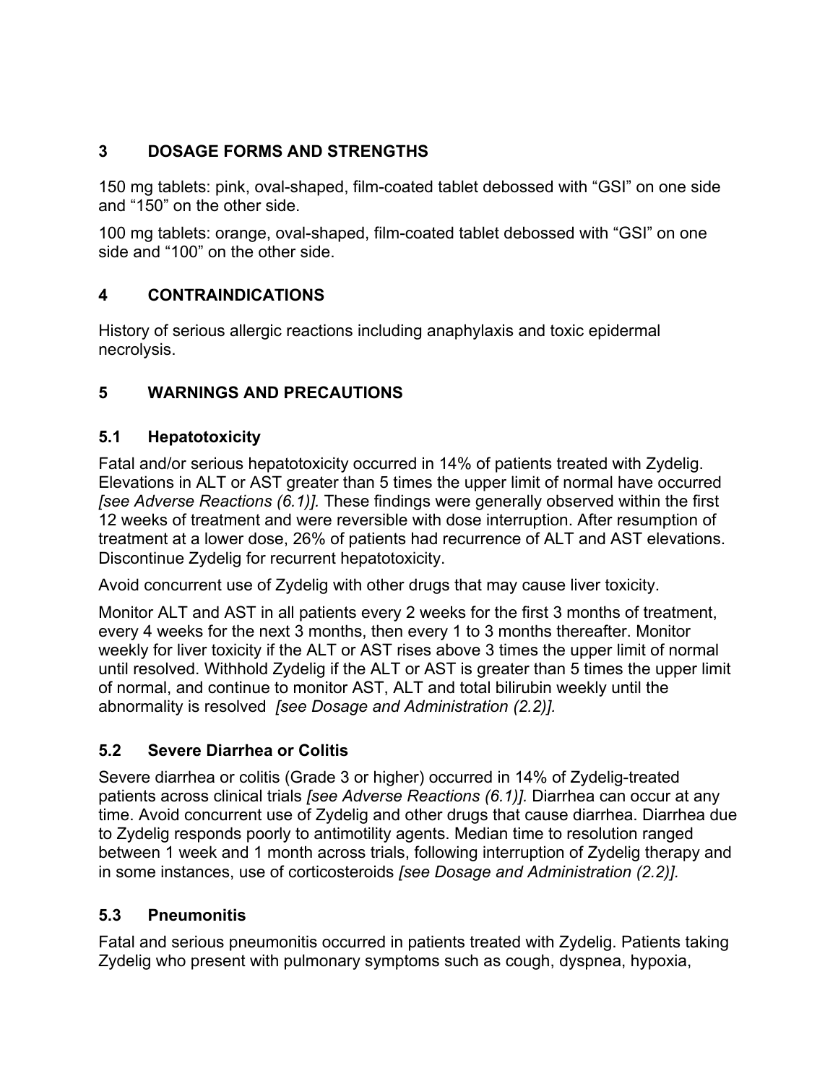# **3 DOSAGE FORMS AND STRENGTHS**

150 mg tablets: pink, oval-shaped, film-coated tablet debossed with "GSI" on one side and "150" on the other side.

100 mg tablets: orange, oval-shaped, film-coated tablet debossed with "GSI" on one side and "100" on the other side.

# **4 CONTRAINDICATIONS**

History of serious allergic reactions including anaphylaxis and toxic epidermal necrolysis.

# **5 WARNINGS AND PRECAUTIONS**

### **5.1 Hepatotoxicity**

Fatal and/or serious hepatotoxicity occurred in 14% of patients treated with Zydelig. Elevations in ALT or AST greater than 5 times the upper limit of normal have occurred *[see Adverse Reactions (6.1)].* These findings were generally observed within the first 12 weeks of treatment and were reversible with dose interruption. After resumption of treatment at a lower dose, 26% of patients had recurrence of ALT and AST elevations. Discontinue Zydelig for recurrent hepatotoxicity.

Avoid concurrent use of Zydelig with other drugs that may cause liver toxicity.

Monitor ALT and AST in all patients every 2 weeks for the first 3 months of treatment, every 4 weeks for the next 3 months, then every 1 to 3 months thereafter. Monitor weekly for liver toxicity if the ALT or AST rises above 3 times the upper limit of normal until resolved. Withhold Zydelig if the ALT or AST is greater than 5 times the upper limit of normal, and continue to monitor AST, ALT and total bilirubin weekly until the abnormality is resolved *[see Dosage and Administration (2.2)].*

# **5.2 Severe Diarrhea or Colitis**

Severe diarrhea or colitis (Grade 3 or higher) occurred in 14% of Zydelig-treated patients across clinical trials *[see Adverse Reactions (6.1)].* Diarrhea can occur at any time. Avoid concurrent use of Zydelig and other drugs that cause diarrhea. Diarrhea due to Zydelig responds poorly to antimotility agents. Median time to resolution ranged between 1 week and 1 month across trials, following interruption of Zydelig therapy and in some instances, use of corticosteroids *[see Dosage and Administration (2.2)].*

#### **5.3 Pneumonitis**

Fatal and serious pneumonitis occurred in patients treated with Zydelig. Patients taking Zydelig who present with pulmonary symptoms such as cough, dyspnea, hypoxia,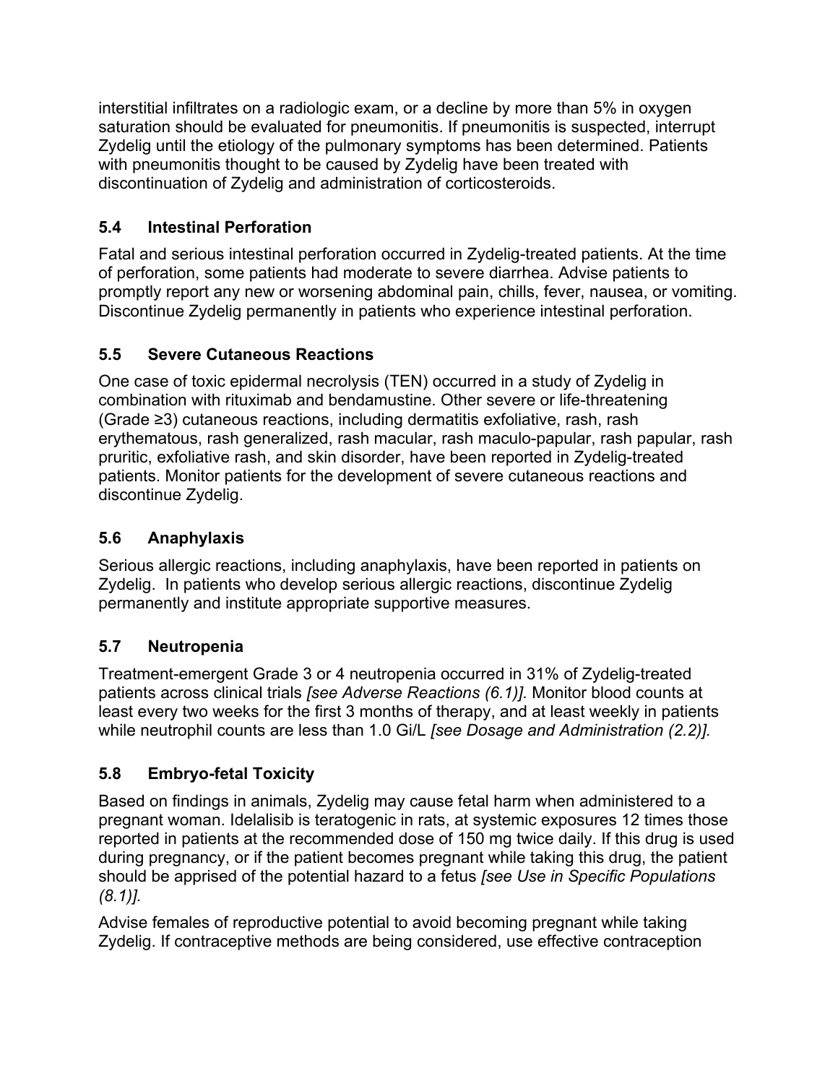interstitial infiltrates on a radiologic exam, or a decline by more than 5% in oxygen saturation should be evaluated for pneumonitis. If pneumonitis is suspected, interrupt Zydelig until the etiology of the pulmonary symptoms has been determined. Patients with pneumonitis thought to be caused by Zydelig have been treated with discontinuation of Zydelig and administration of corticosteroids.

# **5.4 Intestinal Perforation**

Fatal and serious intestinal perforation occurred in Zydelig-treated patients. At the time of perforation, some patients had moderate to severe diarrhea. Advise patients to promptly report any new or worsening abdominal pain, chills, fever, nausea, or vomiting. Discontinue Zydelig permanently in patients who experience intestinal perforation.

# **5.5 Severe Cutaneous Reactions**

One case of toxic epidermal necrolysis (TEN) occurred in a study of Zydelig in combination with rituximab and bendamustine. Other severe or life-threatening (Grade  $\geq$ 3) cutaneous reactions, including dermatitis exfoliative, rash, rash erythematous, rash generalized, rash macular, rash maculo-papular, rash papular, rash pruritic, exfoliative rash, and skin disorder, have been reported in Zydelig-treated patients. Monitor patients for the development of severe cutaneous reactions and discontinue Zydelig.

# **5.6 Anaphylaxis**

Serious allergic reactions, including anaphylaxis, have been reported in patients on Zydelig. In patients who develop serious allergic reactions, discontinue Zydelig permanently and institute appropriate supportive measures.

# **5.7 Neutropenia**

Treatment-emergent Grade 3 or 4 neutropenia occurred in 31% of Zydelig-treated patients across clinical trials *[see Adverse Reactions (6.1)].* Monitor blood counts at least every two weeks for the first 3 months of therapy, and at least weekly in patients while neutrophil counts are less than 1.0 Gi/L *[see Dosage and Administration (2.2)].*

# **5.8 Embryo-fetal Toxicity**

Based on findings in animals, Zydelig may cause fetal harm when administered to a pregnant woman. Idelalisib is teratogenic in rats, at systemic exposures 12 times those reported in patients at the recommended dose of 150 mg twice daily. If this drug is used during pregnancy, or if the patient becomes pregnant while taking this drug, the patient should be apprised of the potential hazard to a fetus *[see Use in Specific Populations (8.1)].*

Advise females of reproductive potential to avoid becoming pregnant while taking Zydelig. If contraceptive methods are being considered, use effective contraception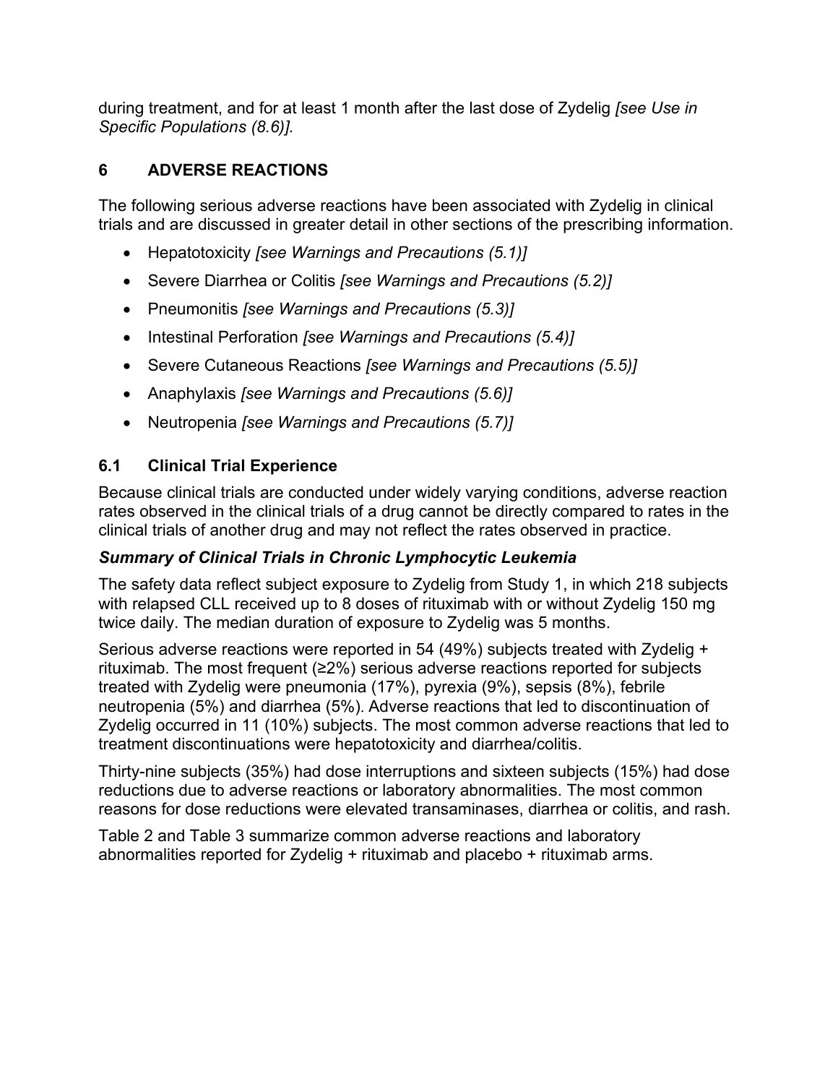during treatment, and for at least 1 month after the last dose of Zydelig *[see Use in Specific Populations (8.6)].*

# **6 ADVERSE REACTIONS**

The following serious adverse reactions have been associated with Zydelig in clinical trials and are discussed in greater detail in other sections of the prescribing information.

- x Hepatotoxicity *[see Warnings and Precautions (5.1)]*
- **Severe Diarrhea or Colitis** *[see Warnings and Precautions (5.2)]*
- x Pneumonitis *[see Warnings and Precautions (5.3)]*
- Intestinal Perforation *[see Warnings and Precautions (5.4)]*
- **Severe Cutaneous Reactions** *[see Warnings and Precautions (5.5)]*
- x Anaphylaxis *[see Warnings and Precautions (5.6)]*
- x Neutropenia *[see Warnings and Precautions (5.7)]*

# **6.1 Clinical Trial Experience**

Because clinical trials are conducted under widely varying conditions, adverse reaction rates observed in the clinical trials of a drug cannot be directly compared to rates in the clinical trials of another drug and may not reflect the rates observed in practice.

#### *Summary of Clinical Trials in Chronic Lymphocytic Leukemia*

The safety data reflect subject exposure to Zydelig from Study 1, in which 218 subjects with relapsed CLL received up to 8 doses of rituximab with or without Zydelig 150 mg twice daily. The median duration of exposure to Zydelig was 5 months.

Serious adverse reactions were reported in 54 (49%) subjects treated with Zydelig + rituximab. The most frequent ( $\geq$ 2%) serious adverse reactions reported for subjects treated with Zydelig were pneumonia (17%), pyrexia (9%), sepsis (8%), febrile neutropenia (5%) and diarrhea (5%). Adverse reactions that led to discontinuation of Zydelig occurred in 11 (10%) subjects. The most common adverse reactions that led to treatment discontinuations were hepatotoxicity and diarrhea/colitis.

Thirty-nine subjects (35%) had dose interruptions and sixteen subjects (15%) had dose reductions due to adverse reactions or laboratory abnormalities. The most common reasons for dose reductions were elevated transaminases, diarrhea or colitis, and rash.

Table 2 and Table 3 summarize common adverse reactions and laboratory abnormalities reported for Zydelig + rituximab and placebo + rituximab arms.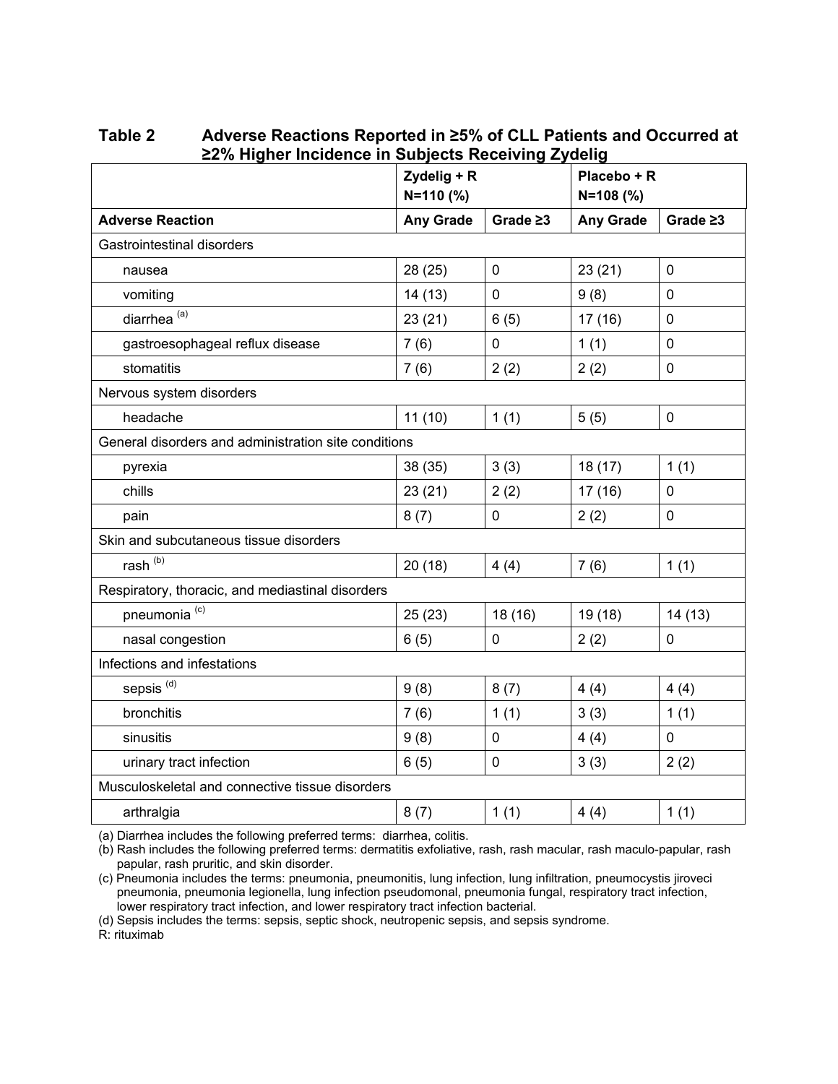|                                                      | Zydelig + R<br>$N=110(%)$ |                |                  | Placebo + R<br>$N=108$ (%) |  |
|------------------------------------------------------|---------------------------|----------------|------------------|----------------------------|--|
| <b>Adverse Reaction</b>                              | <b>Any Grade</b>          | Grade $\geq 3$ | <b>Any Grade</b> | Grade $\geq 3$             |  |
| Gastrointestinal disorders                           |                           |                |                  |                            |  |
| nausea                                               | 28 (25)                   | $\mathbf 0$    | 23(21)           | $\mathbf 0$                |  |
| vomiting                                             | 14(13)                    | $\pmb{0}$      | 9(8)             | $\mathbf 0$                |  |
| diarrhea <sup>(a)</sup>                              | 23(21)                    | 6(5)           | 17(16)           | $\mathbf 0$                |  |
| gastroesophageal reflux disease                      | 7(6)                      | $\mathbf 0$    | 1(1)             | $\mathbf 0$                |  |
| stomatitis                                           | 7(6)                      | 2(2)           | 2(2)             | $\mathbf 0$                |  |
| Nervous system disorders                             |                           |                |                  |                            |  |
| headache                                             | 11(10)                    | 1(1)           | 5(5)             | $\mathbf 0$                |  |
| General disorders and administration site conditions |                           |                |                  |                            |  |
| pyrexia                                              | 38 (35)                   | 3(3)           | 18(17)           | 1(1)                       |  |
| chills                                               | 23(21)                    | 2(2)           | 17(16)           | $\pmb{0}$                  |  |
| pain                                                 | 8(7)                      | 0              | 2(2)             | $\mathbf 0$                |  |
| Skin and subcutaneous tissue disorders               |                           |                |                  |                            |  |
| rash <sup>(b)</sup>                                  | 20(18)                    | 4(4)           | 7(6)             | 1(1)                       |  |
| Respiratory, thoracic, and mediastinal disorders     |                           |                |                  |                            |  |
| pneumonia <sup>(c)</sup>                             | 25(23)                    | 18 (16)        | 19 (18)          | 14(13)                     |  |
| nasal congestion                                     | 6(5)                      | $\pmb{0}$      | 2(2)             | $\mathbf 0$                |  |
| Infections and infestations                          |                           |                |                  |                            |  |
| sepsis <sup>(d)</sup>                                | 9(8)                      | 8(7)           | 4(4)             | 4(4)                       |  |
| bronchitis                                           | 7(6)                      | 1(1)           | 3(3)             | 1(1)                       |  |
| sinusitis                                            | 9(8)                      | 0              | 4(4)             | $\mathbf 0$                |  |
| urinary tract infection                              | 6(5)                      | $\mathbf 0$    | 3(3)             | 2(2)                       |  |
| Musculoskeletal and connective tissue disorders      |                           |                |                  |                            |  |
| arthralgia                                           | 8(7)                      | 1(1)           | 4(4)             | 1(1)                       |  |

Table 2 Adverse Reactions Reported in ≥5% of CLL Patients and Occurred at **≥2% Higher Incidence in Subjects Receiving Zydelig** 

(a) Diarrhea includes the following preferred terms: diarrhea, colitis.

(b) Rash includes the following preferred terms: dermatitis exfoliative, rash, rash macular, rash maculo-papular, rash papular, rash pruritic, and skin disorder.

(c) Pneumonia includes the terms: pneumonia, pneumonitis, lung infection, lung infiltration, pneumocystis jiroveci pneumonia, pneumonia legionella, lung infection pseudomonal, pneumonia fungal, respiratory tract infection, lower respiratory tract infection, and lower respiratory tract infection bacterial.

(d) Sepsis includes the terms: sepsis, septic shock, neutropenic sepsis, and sepsis syndrome.

R: rituximab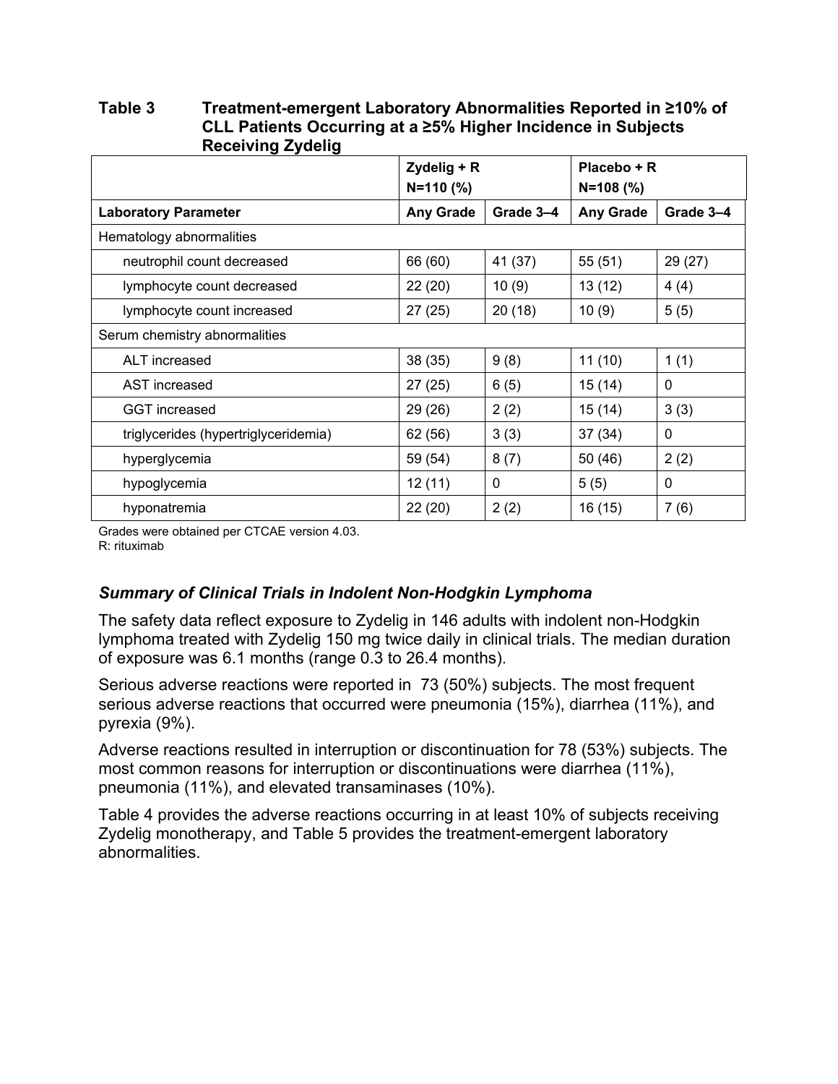| Receiving Zydelig                    |                              |           |                            |              |
|--------------------------------------|------------------------------|-----------|----------------------------|--------------|
|                                      | Zydelig + R<br>$N = 110$ (%) |           | Placebo + R<br>$N=108$ (%) |              |
| <b>Laboratory Parameter</b>          | <b>Any Grade</b>             | Grade 3-4 | <b>Any Grade</b>           | Grade 3-4    |
| Hematology abnormalities             |                              |           |                            |              |
| neutrophil count decreased           | 66 (60)                      | 41 (37)   | 55 (51)                    | 29 (27)      |
| lymphocyte count decreased           | 22(20)                       | 10(9)     | 13(12)                     | 4(4)         |
| lymphocyte count increased           | 27(25)                       | 20(18)    | 10(9)                      | 5(5)         |
| Serum chemistry abnormalities        |                              |           |                            |              |
| ALT increased                        | 38(35)                       | 9(8)      | 11(10)                     | 1(1)         |
| AST increased                        | 27(25)                       | 6(5)      | 15 (14)                    | 0            |
| <b>GGT</b> increased                 | 29 (26)                      | 2(2)      | 15(14)                     | 3(3)         |
| triglycerides (hypertriglyceridemia) | 62 (56)                      | 3(3)      | 37(34)                     | 0            |
| hyperglycemia                        | 59 (54)                      | 8(7)      | 50 (46)                    | 2(2)         |
| hypoglycemia                         | 12(11)                       | 0         | 5(5)                       | $\mathbf{0}$ |
| hyponatremia                         | 22(20)                       | 2(2)      | 16(15)                     | 7(6)         |

Table 3 Treatment-emergent Laboratory Abnormalities Reported in ≥10% of CLL Patients Occurring at a ≥5% Higher Incidence in Subjects **Receiving Zydelig** 

Grades were obtained per CTCAE version 4.03.

R: rituximab

#### *Summary of Clinical Trials in Indolent Non-Hodgkin Lymphoma*

The safety data reflect exposure to Zydelig in 146 adults with indolent non-Hodgkin lymphoma treated with Zydelig 150 mg twice daily in clinical trials. The median duration of exposure was 6.1 months (range 0.3 to 26.4 months).

Serious adverse reactions were reported in 73 (50%) subjects. The most frequent serious adverse reactions that occurred were pneumonia (15%), diarrhea (11%), and pyrexia (9%).

Adverse reactions resulted in interruption or discontinuation for 78 (53%) subjects. The most common reasons for interruption or discontinuations were diarrhea (11%), pneumonia (11%), and elevated transaminases (10%).

Table 4 provides the adverse reactions occurring in at least 10% of subjects receiving Zydelig monotherapy, and Table 5 provides the treatment-emergent laboratory abnormalities.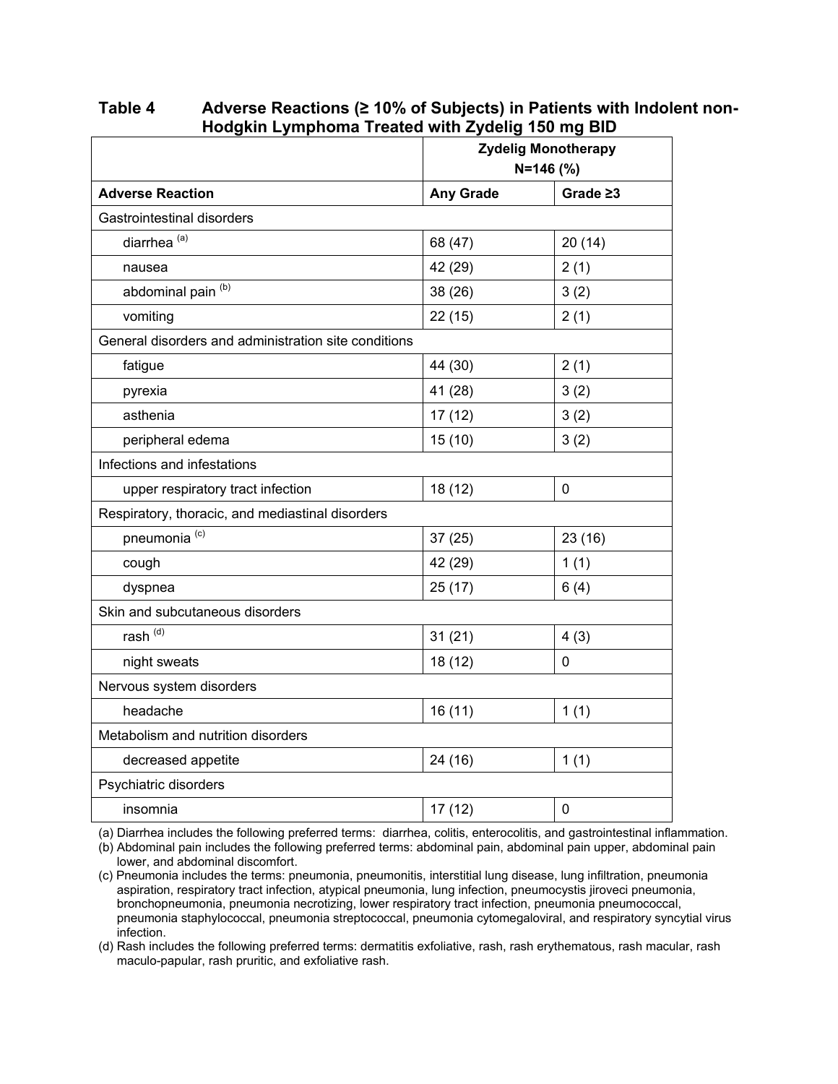Table 4 Adverse Reactions ( $\geq$  10% of Subjects) in Patients with Indolent non-**Hodgkin Lymphoma Treated with Zydelig 150 mg BID**

|                                                      | <b>Zydelig Monotherapy</b><br>$N = 146$ (%) |                |  |  |
|------------------------------------------------------|---------------------------------------------|----------------|--|--|
| <b>Adverse Reaction</b>                              | <b>Any Grade</b>                            | Grade $\geq 3$ |  |  |
| Gastrointestinal disorders                           |                                             |                |  |  |
| diarrhea <sup>(a)</sup>                              | 68 (47)                                     | 20(14)         |  |  |
| nausea                                               | 42 (29)                                     | 2(1)           |  |  |
| abdominal pain <sup>(b)</sup>                        | 38 (26)                                     | 3(2)           |  |  |
| vomiting                                             | 22(15)                                      | 2(1)           |  |  |
| General disorders and administration site conditions |                                             |                |  |  |
| fatigue                                              | 44 (30)                                     | 2(1)           |  |  |
| pyrexia                                              | 41 (28)                                     | 3(2)           |  |  |
| asthenia                                             | 17 (12)                                     | 3(2)           |  |  |
| peripheral edema                                     | 15(10)                                      | 3(2)           |  |  |
| Infections and infestations                          |                                             |                |  |  |
| upper respiratory tract infection                    | 18 (12)                                     | 0              |  |  |
| Respiratory, thoracic, and mediastinal disorders     |                                             |                |  |  |
| pneumonia <sup>(c)</sup>                             | 37 (25)                                     | 23(16)         |  |  |
| cough                                                | 42 (29)                                     | 1(1)           |  |  |
| dyspnea                                              | 25(17)                                      | 6(4)           |  |  |
| Skin and subcutaneous disorders                      |                                             |                |  |  |
| rash <sup>(d)</sup>                                  | 31(21)                                      | 4(3)           |  |  |
| night sweats                                         | 18 (12)                                     | $\mathbf 0$    |  |  |
| Nervous system disorders                             |                                             |                |  |  |
| headache                                             | 16 (11)                                     | 1(1)           |  |  |
| Metabolism and nutrition disorders                   |                                             |                |  |  |
| decreased appetite                                   | 24 (16)                                     | 1(1)           |  |  |
| Psychiatric disorders                                |                                             |                |  |  |
| insomnia                                             | 17 (12)                                     | 0              |  |  |

(a) Diarrhea includes the following preferred terms: diarrhea, colitis, enterocolitis, and gastrointestinal inflammation.

(b) Abdominal pain includes the following preferred terms: abdominal pain, abdominal pain upper, abdominal pain lower, and abdominal discomfort.

(c) Pneumonia includes the terms: pneumonia, pneumonitis, interstitial lung disease, lung infiltration, pneumonia aspiration, respiratory tract infection, atypical pneumonia, lung infection, pneumocystis jiroveci pneumonia, bronchopneumonia, pneumonia necrotizing, lower respiratory tract infection, pneumonia pneumococcal, pneumonia staphylococcal, pneumonia streptococcal, pneumonia cytomegaloviral, and respiratory syncytial virus infection.

(d) Rash includes the following preferred terms: dermatitis exfoliative, rash, rash erythematous, rash macular, rash maculo-papular, rash pruritic, and exfoliative rash.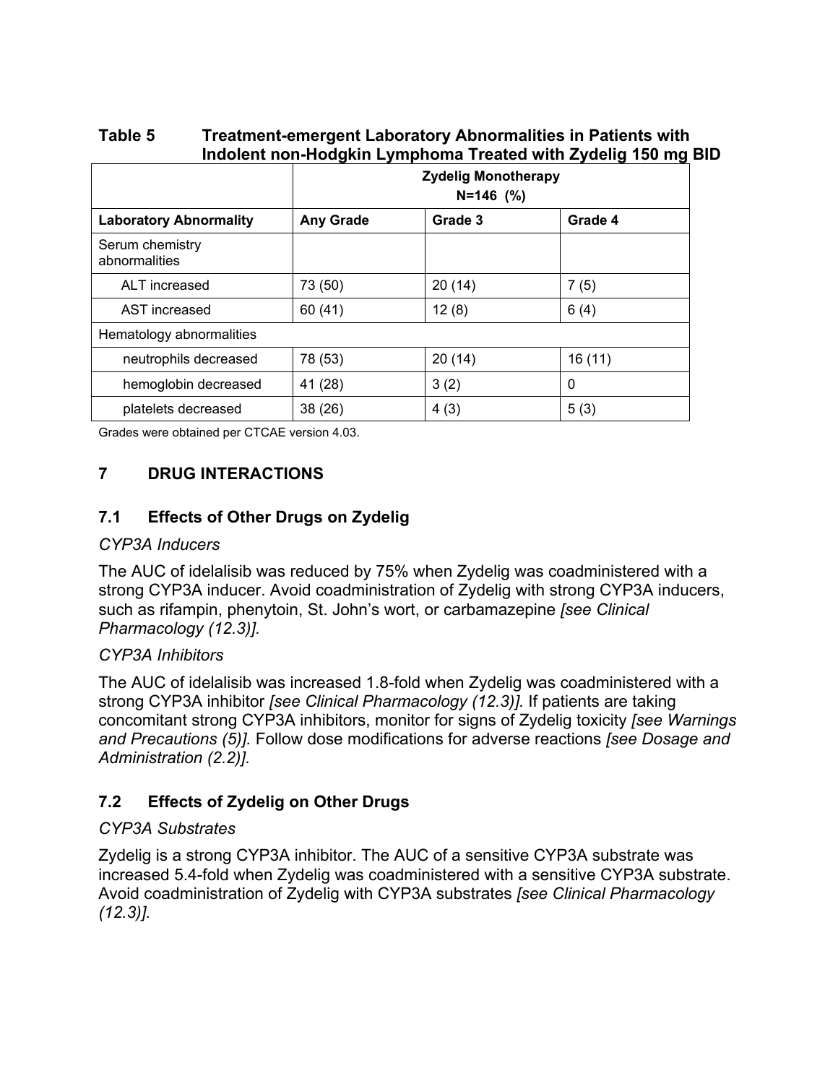|                                  | <b>Zydelig Monotherapy</b><br>$N=146$ (%) |         |         |
|----------------------------------|-------------------------------------------|---------|---------|
| <b>Laboratory Abnormality</b>    | <b>Any Grade</b>                          | Grade 3 | Grade 4 |
| Serum chemistry<br>abnormalities |                                           |         |         |
| ALT increased                    | 73 (50)                                   | 20(14)  | 7(5)    |
| AST increased                    | 60 (41)                                   | 12(8)   | 6(4)    |
| Hematology abnormalities         |                                           |         |         |
| neutrophils decreased            | 78 (53)                                   | 20(14)  | 16(11)  |
| hemoglobin decreased             | 41 (28)                                   | 3(2)    | 0       |
| platelets decreased              | 38 (26)                                   | 4(3)    | 5(3)    |

**Table 5 Treatment-emergent Laboratory Abnormalities in Patients with Indolent non-Hodgkin Lymphoma Treated with Zydelig 150 mg BID**

Grades were obtained per CTCAE version 4.03.

### **7 DRUG INTERACTIONS**

#### **7.1 Effects of Other Drugs on Zydelig**

#### *CYP3A Inducers*

The AUC of idelalisib was reduced by 75% when Zydelig was coadministered with a strong CYP3A inducer. Avoid coadministration of Zydelig with strong CYP3A inducers, such as rifampin, phenytoin, St. John's wort, or carbamazepine *[see Clinical Pharmacology (12.3)].*

#### *CYP3A Inhibitors*

The AUC of idelalisib was increased 1.8-fold when Zydelig was coadministered with a strong CYP3A inhibitor *[see Clinical Pharmacology (12.3)].* If patients are taking concomitant strong CYP3A inhibitors, monitor for signs of Zydelig toxicity *[see Warnings and Precautions (5)].* Follow dose modifications for adverse reactions *[see Dosage and Administration (2.2)].*

#### **7.2 Effects of Zydelig on Other Drugs**

#### *CYP3A Substrates*

Zydelig is a strong CYP3A inhibitor. The AUC of a sensitive CYP3A substrate was increased 5.4-fold when Zydelig was coadministered with a sensitive CYP3A substrate. Avoid coadministration of Zydelig with CYP3A substrates *[see Clinical Pharmacology (12.3)].*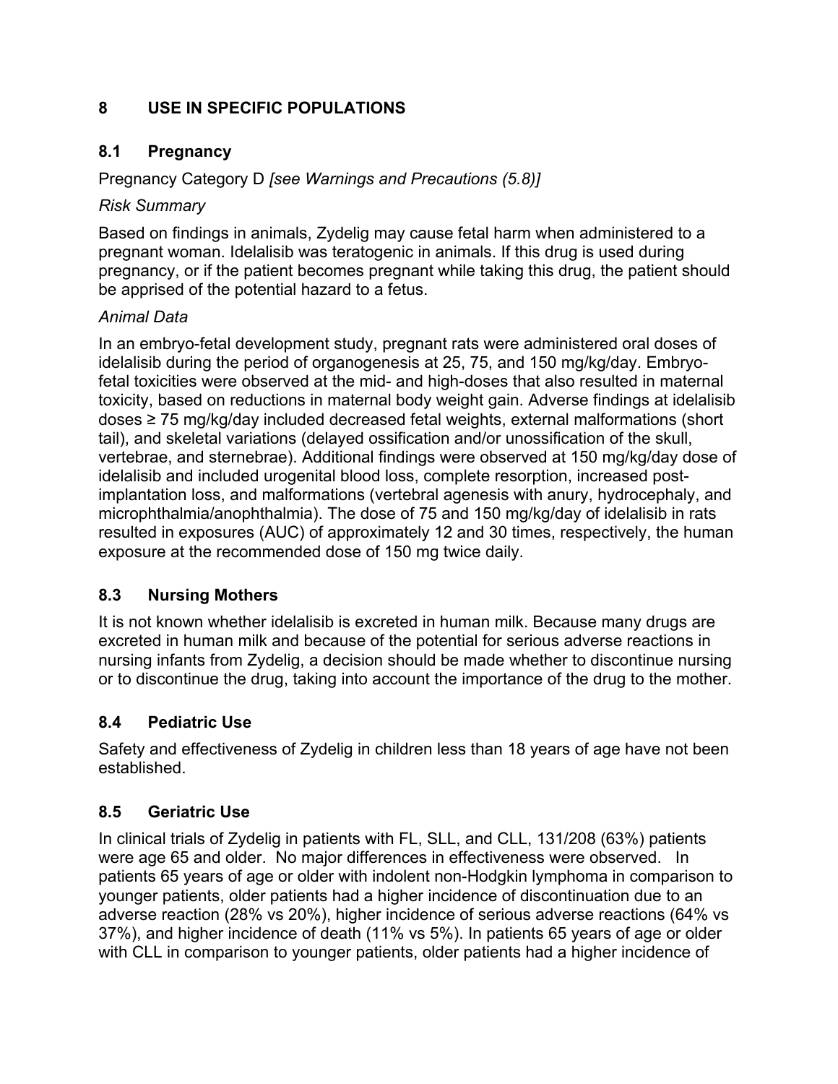# **8 USE IN SPECIFIC POPULATIONS**

#### **8.1 Pregnancy**

Pregnancy Category D *[see Warnings and Precautions (5.8)]*

#### *Risk Summary*

Based on findings in animals, Zydelig may cause fetal harm when administered to a pregnant woman. Idelalisib was teratogenic in animals. If this drug is used during pregnancy, or if the patient becomes pregnant while taking this drug, the patient should be apprised of the potential hazard to a fetus.

#### *Animal Data*

In an embryo-fetal development study, pregnant rats were administered oral doses of idelalisib during the period of organogenesis at 25, 75, and 150 mg/kg/day. Embryofetal toxicities were observed at the mid- and high-doses that also resulted in maternal toxicity, based on reductions in maternal body weight gain. Adverse findings at idelalisib doses  $\geq$  75 mg/kg/day included decreased fetal weights, external malformations (short tail), and skeletal variations (delayed ossification and/or unossification of the skull, vertebrae, and sternebrae). Additional findings were observed at 150 mg/kg/day dose of idelalisib and included urogenital blood loss, complete resorption, increased postimplantation loss, and malformations (vertebral agenesis with anury, hydrocephaly, and microphthalmia/anophthalmia). The dose of 75 and 150 mg/kg/day of idelalisib in rats resulted in exposures (AUC) of approximately 12 and 30 times, respectively, the human exposure at the recommended dose of 150 mg twice daily.

# **8.3 Nursing Mothers**

It is not known whether idelalisib is excreted in human milk. Because many drugs are excreted in human milk and because of the potential for serious adverse reactions in nursing infants from Zydelig, a decision should be made whether to discontinue nursing or to discontinue the drug, taking into account the importance of the drug to the mother.

# **8.4 Pediatric Use**

Safety and effectiveness of Zydelig in children less than 18 years of age have not been established.

# **8.5 Geriatric Use**

In clinical trials of Zydelig in patients with FL, SLL, and CLL, 131/208 (63%) patients were age 65 and older. No major differences in effectiveness were observed. In patients 65 years of age or older with indolent non-Hodgkin lymphoma in comparison to younger patients, older patients had a higher incidence of discontinuation due to an adverse reaction (28% vs 20%), higher incidence of serious adverse reactions (64% vs 37%), and higher incidence of death (11% vs 5%). In patients 65 years of age or older with CLL in comparison to younger patients, older patients had a higher incidence of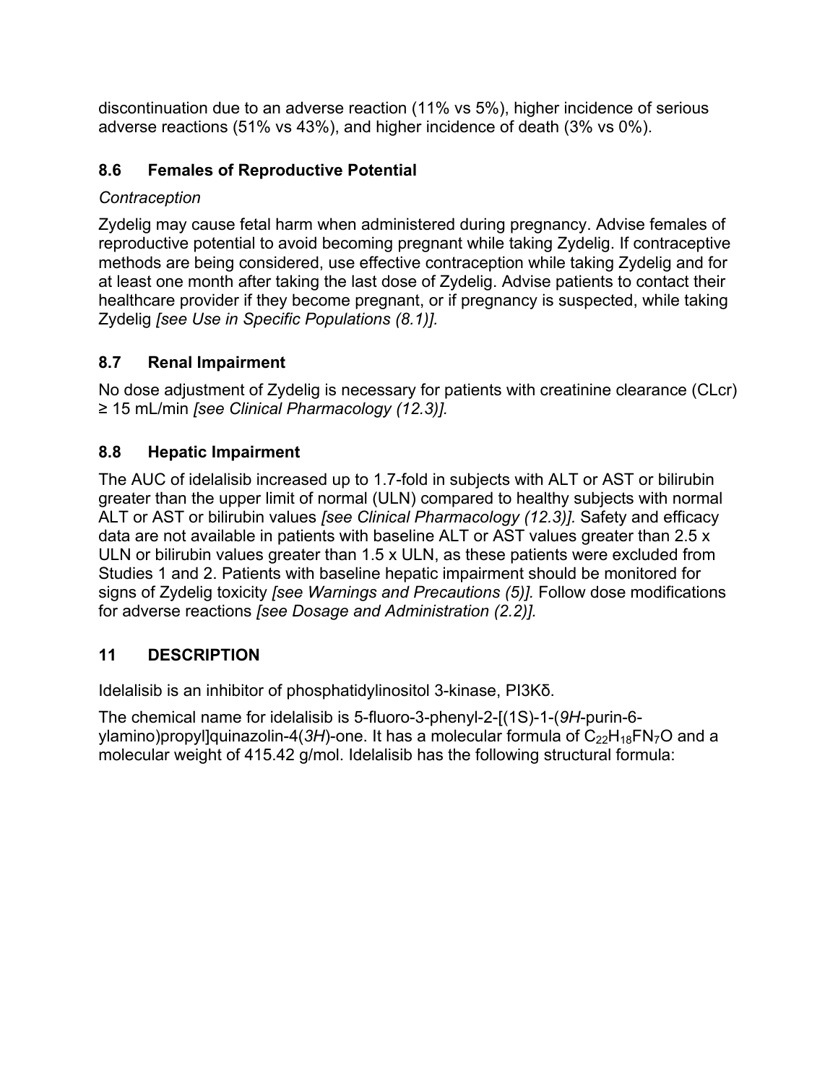discontinuation due to an adverse reaction (11% vs 5%), higher incidence of serious adverse reactions (51% vs 43%), and higher incidence of death (3% vs 0%).

# **8.6 Females of Reproductive Potential**

# *Contraception*

Zydelig may cause fetal harm when administered during pregnancy. Advise females of reproductive potential to avoid becoming pregnant while taking Zydelig. If contraceptive methods are being considered, use effective contraception while taking Zydelig and for at least one month after taking the last dose of Zydelig. Advise patients to contact their healthcare provider if they become pregnant, or if pregnancy is suspected, while taking Zydelig *[see Use in Specific Populations (8.1)].*

# **8.7 Renal Impairment**

No dose adjustment of Zydelig is necessary for patients with creatinine clearance (CLcr) ≥ 15 mL/min *[see Clinical Pharmacology (12.3)]*.

# **8.8 Hepatic Impairment**

The AUC of idelalisib increased up to 1.7-fold in subjects with ALT or AST or bilirubin greater than the upper limit of normal (ULN) compared to healthy subjects with normal ALT or AST or bilirubin values *[see Clinical Pharmacology (12.3)].* Safety and efficacy data are not available in patients with baseline ALT or AST values greater than 2.5 x ULN or bilirubin values greater than 1.5 x ULN, as these patients were excluded from Studies 1 and 2. Patients with baseline hepatic impairment should be monitored for signs of Zydelig toxicity *[see Warnings and Precautions (5)].* Follow dose modifications for adverse reactions *[see Dosage and Administration (2.2)].*

# **11 DESCRIPTION**

Idelalisib is an inhibitor of phosphatidylinositol 3-kinase, PI3Kδ.

The chemical name for idelalisib is 5-fluoro-3-phenyl-2-[(1S)-1-(*9H*-purin-6 ylamino)propyl]quinazolin-4(3H)-one. It has a molecular formula of C<sub>22</sub>H<sub>18</sub>FN<sub>7</sub>O and a molecular weight of 415.42 g/mol. Idelalisib has the following structural formula: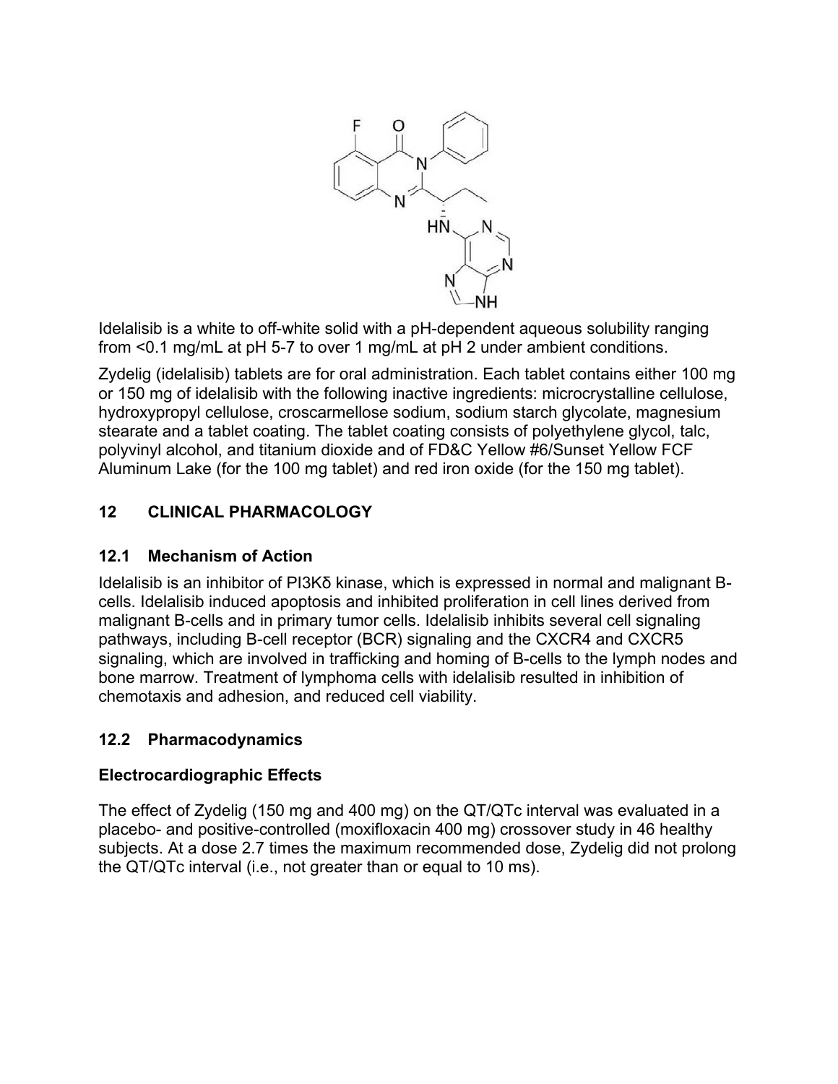

Idelalisib is a white to off-white solid with a pH-dependent aqueous solubility ranging from <0.1 mg/mL at pH 5-7 to over 1 mg/mL at pH 2 under ambient conditions.

Zydelig (idelalisib) tablets are for oral administration. Each tablet contains either 100 mg or 150 mg of idelalisib with the following inactive ingredients: microcrystalline cellulose, hydroxypropyl cellulose, croscarmellose sodium, sodium starch glycolate, magnesium stearate and a tablet coating. The tablet coating consists of polyethylene glycol, talc, polyvinyl alcohol, and titanium dioxide and of FD&C Yellow #6/Sunset Yellow FCF Aluminum Lake (for the 100 mg tablet) and red iron oxide (for the 150 mg tablet).

# **12 CLINICAL PHARMACOLOGY**

# **12.1 Mechanism of Action**

Idelalisib is an inhibitor of PI3K $\delta$  kinase, which is expressed in normal and malignant Bcells. Idelalisib induced apoptosis and inhibited proliferation in cell lines derived from malignant B-cells and in primary tumor cells. Idelalisib inhibits several cell signaling pathways, including B-cell receptor (BCR) signaling and the CXCR4 and CXCR5 signaling, which are involved in trafficking and homing of B-cells to the lymph nodes and bone marrow. Treatment of lymphoma cells with idelalisib resulted in inhibition of chemotaxis and adhesion, and reduced cell viability.

# **12.2 Pharmacodynamics**

# **Electrocardiographic Effects**

The effect of Zydelig (150 mg and 400 mg) on the QT/QTc interval was evaluated in a placebo- and positive-controlled (moxifloxacin 400 mg) crossover study in 46 healthy subjects. At a dose 2.7 times the maximum recommended dose, Zydelig did not prolong the QT/QTc interval (i.e., not greater than or equal to 10 ms).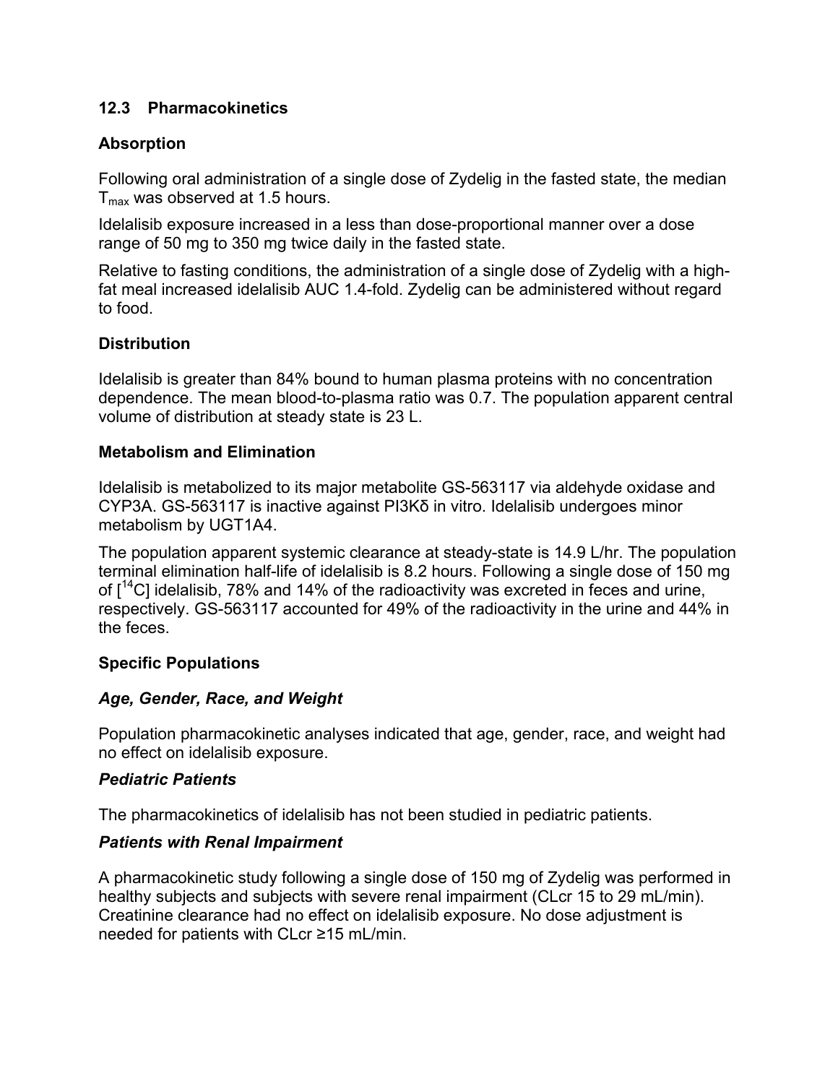#### **12.3 Pharmacokinetics**

#### **Absorption**

Following oral administration of a single dose of Zydelig in the fasted state, the median  $T<sub>max</sub>$  was observed at 1.5 hours.

Idelalisib exposure increased in a less than dose-proportional manner over a dose range of 50 mg to 350 mg twice daily in the fasted state.

Relative to fasting conditions, the administration of a single dose of Zydelig with a highfat meal increased idelalisib AUC 1.4-fold. Zydelig can be administered without regard to food.

#### **Distribution**

Idelalisib is greater than 84% bound to human plasma proteins with no concentration dependence. The mean blood-to-plasma ratio was 0.7. The population apparent central volume of distribution at steady state is 23 L.

#### **Metabolism and Elimination**

Idelalisib is metabolized to its major metabolite GS-563117 via aldehyde oxidase and  $CYP3A.$  GS-563117 is inactive against PI3K $\delta$  in vitro. Idelalisib undergoes minor metabolism by UGT1A4.

The population apparent systemic clearance at steady-state is 14.9 L/hr. The population terminal elimination half-life of idelalisib is 8.2 hours. Following a single dose of 150 mg of  $I^{14}$ C] idelalisib, 78% and 14% of the radioactivity was excreted in feces and urine, respectively. GS-563117 accounted for 49% of the radioactivity in the urine and 44% in the feces.

#### **Specific Populations**

#### *Age, Gender, Race, and Weight*

Population pharmacokinetic analyses indicated that age, gender, race, and weight had no effect on idelalisib exposure.

#### *Pediatric Patients*

The pharmacokinetics of idelalisib has not been studied in pediatric patients.

#### *Patients with Renal Impairment*

A pharmacokinetic study following a single dose of 150 mg of Zydelig was performed in healthy subjects and subjects with severe renal impairment (CLcr 15 to 29 mL/min). Creatinine clearance had no effect on idelalisib exposure. No dose adjustment is needed for patients with CLcr  $\geq$ 15 mL/min.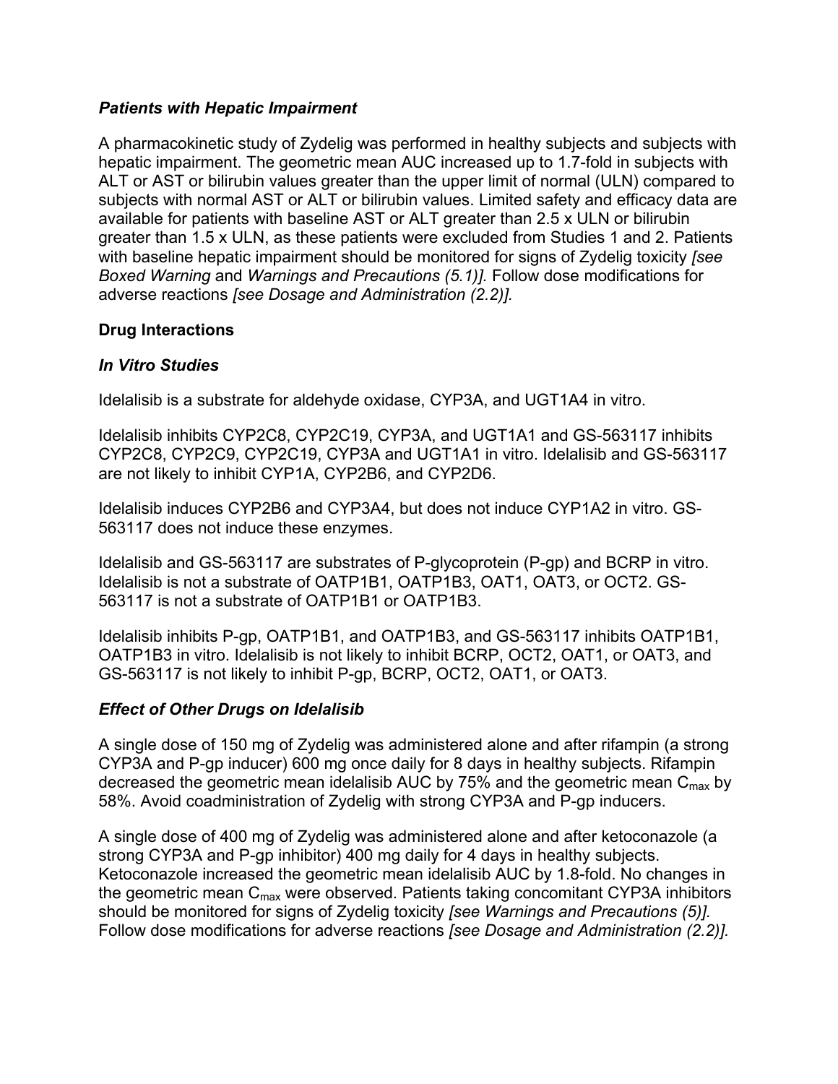#### *Patients with Hepatic Impairment*

A pharmacokinetic study of Zydelig was performed in healthy subjects and subjects with hepatic impairment. The geometric mean AUC increased up to 1.7-fold in subjects with ALT or AST or bilirubin values greater than the upper limit of normal (ULN) compared to subjects with normal AST or ALT or bilirubin values. Limited safety and efficacy data are available for patients with baseline AST or ALT greater than 2.5 x ULN or bilirubin greater than 1.5 x ULN, as these patients were excluded from Studies 1 and 2. Patients with baseline hepatic impairment should be monitored for signs of Zydelig toxicity *[see Boxed Warning* and *Warnings and Precautions (5.1)].* Follow dose modifications for adverse reactions *[see Dosage and Administration (2.2)].*

#### **Drug Interactions**

#### *In Vitro Studies*

Idelalisib is a substrate for aldehyde oxidase, CYP3A, and UGT1A4 in vitro.

Idelalisib inhibits CYP2C8, CYP2C19, CYP3A, and UGT1A1 and GS-563117 inhibits CYP2C8, CYP2C9, CYP2C19, CYP3A and UGT1A1 in vitro. Idelalisib and GS-563117 are not likely to inhibit CYP1A, CYP2B6, and CYP2D6.

Idelalisib induces CYP2B6 and CYP3A4, but does not induce CYP1A2 in vitro. GS-563117 does not induce these enzymes.

Idelalisib and GS-563117 are substrates of P-glycoprotein (P-gp) and BCRP in vitro. Idelalisib is not a substrate of OATP1B1, OATP1B3, OAT1, OAT3, or OCT2. GS-563117 is not a substrate of OATP1B1 or OATP1B3.

Idelalisib inhibits P-gp, OATP1B1, and OATP1B3, and GS-563117 inhibits OATP1B1, OATP1B3 in vitro. Idelalisib is not likely to inhibit BCRP, OCT2, OAT1, or OAT3, and GS-563117 is not likely to inhibit P-gp, BCRP, OCT2, OAT1, or OAT3.

#### *Effect of Other Drugs on Idelalisib*

A single dose of 150 mg of Zydelig was administered alone and after rifampin (a strong CYP3A and P-gp inducer) 600 mg once daily for 8 days in healthy subjects. Rifampin decreased the geometric mean idelalisib AUC by 75% and the geometric mean  $C_{\text{max}}$  by 58%. Avoid coadministration of Zydelig with strong CYP3A and P-gp inducers.

A single dose of 400 mg of Zydelig was administered alone and after ketoconazole (a strong CYP3A and P-gp inhibitor) 400 mg daily for 4 days in healthy subjects. Ketoconazole increased the geometric mean idelalisib AUC by 1.8-fold. No changes in the geometric mean  $C_{\text{max}}$  were observed. Patients taking concomitant CYP3A inhibitors should be monitored for signs of Zydelig toxicity *[see Warnings and Precautions (5)].* Follow dose modifications for adverse reactions *[see Dosage and Administration (2.2)].*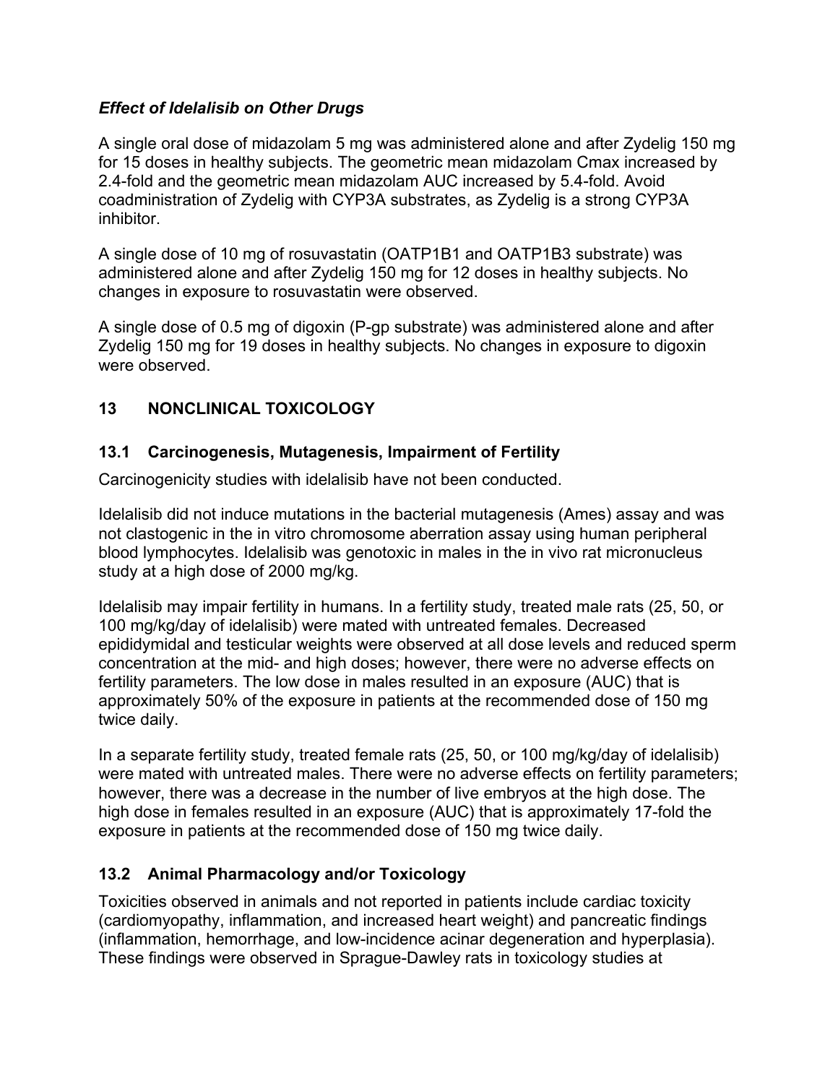#### *Effect of Idelalisib on Other Drugs*

A single oral dose of midazolam 5 mg was administered alone and after Zydelig 150 mg for 15 doses in healthy subjects. The geometric mean midazolam Cmax increased by 2.4-fold and the geometric mean midazolam AUC increased by 5.4-fold. Avoid coadministration of Zydelig with CYP3A substrates, as Zydelig is a strong CYP3A inhibitor.

A single dose of 10 mg of rosuvastatin (OATP1B1 and OATP1B3 substrate) was administered alone and after Zydelig 150 mg for 12 doses in healthy subjects. No changes in exposure to rosuvastatin were observed.

A single dose of 0.5 mg of digoxin (P-gp substrate) was administered alone and after Zydelig 150 mg for 19 doses in healthy subjects. No changes in exposure to digoxin were observed.

# **13 NONCLINICAL TOXICOLOGY**

### **13.1 Carcinogenesis, Mutagenesis, Impairment of Fertility**

Carcinogenicity studies with idelalisib have not been conducted.

Idelalisib did not induce mutations in the bacterial mutagenesis (Ames) assay and was not clastogenic in the in vitro chromosome aberration assay using human peripheral blood lymphocytes. Idelalisib was genotoxic in males in the in vivo rat micronucleus study at a high dose of 2000 mg/kg.

Idelalisib may impair fertility in humans. In a fertility study, treated male rats (25, 50, or 100 mg/kg/day of idelalisib) were mated with untreated females. Decreased epididymidal and testicular weights were observed at all dose levels and reduced sperm concentration at the mid- and high doses; however, there were no adverse effects on fertility parameters. The low dose in males resulted in an exposure (AUC) that is approximately 50% of the exposure in patients at the recommended dose of 150 mg twice daily.

In a separate fertility study, treated female rats (25, 50, or 100 mg/kg/day of idelalisib) were mated with untreated males. There were no adverse effects on fertility parameters; however, there was a decrease in the number of live embryos at the high dose. The high dose in females resulted in an exposure (AUC) that is approximately 17-fold the exposure in patients at the recommended dose of 150 mg twice daily.

# **13.2 Animal Pharmacology and/or Toxicology**

Toxicities observed in animals and not reported in patients include cardiac toxicity (cardiomyopathy, inflammation, and increased heart weight) and pancreatic findings (inflammation, hemorrhage, and low-incidence acinar degeneration and hyperplasia). These findings were observed in Sprague-Dawley rats in toxicology studies at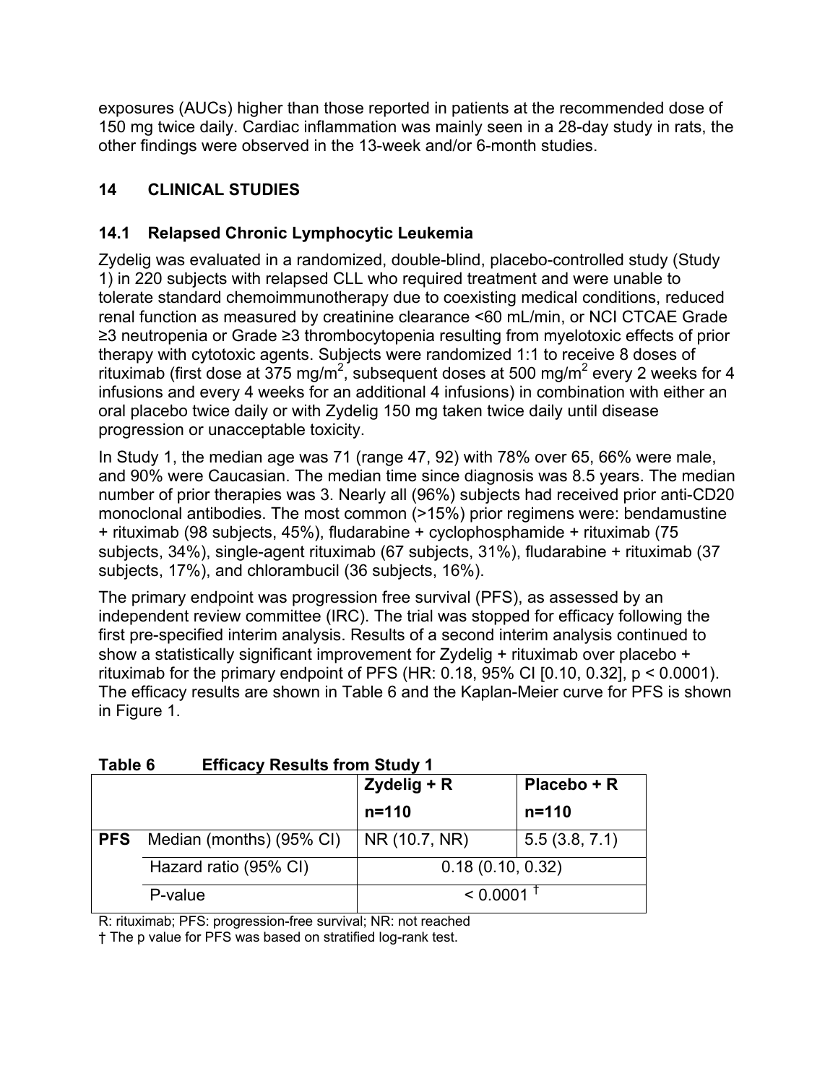exposures (AUCs) higher than those reported in patients at the recommended dose of 150 mg twice daily. Cardiac inflammation was mainly seen in a 28-day study in rats, the other findings were observed in the 13-week and/or 6-month studies.

# **14 CLINICAL STUDIES**

# **14.1 Relapsed Chronic Lymphocytic Leukemia**

Zydelig was evaluated in a randomized, double-blind, placebo-controlled study (Study 1) in 220 subjects with relapsed CLL who required treatment and were unable to tolerate standard chemoimmunotherapy due to coexisting medical conditions, reduced renal function as measured by creatinine clearance <60 mL/min, or NCI CTCAE Grade  $\geq$ 3 neutropenia or Grade  $\geq$ 3 thrombocytopenia resulting from myelotoxic effects of prior therapy with cytotoxic agents. Subjects were randomized 1:1 to receive 8 doses of rituximab (first dose at 375 mg/m<sup>2</sup>, subsequent doses at 500 mg/m<sup>2</sup> every 2 weeks for 4 infusions and every 4 weeks for an additional 4 infusions) in combination with either an oral placebo twice daily or with Zydelig 150 mg taken twice daily until disease progression or unacceptable toxicity.

In Study 1, the median age was 71 (range 47, 92) with 78% over 65, 66% were male, and 90% were Caucasian. The median time since diagnosis was 8.5 years. The median number of prior therapies was 3. Nearly all (96%) subjects had received prior anti-CD20 monoclonal antibodies. The most common (>15%) prior regimens were: bendamustine + rituximab (98 subjects, 45%), fludarabine + cyclophosphamide + rituximab (75 subjects, 34%), single-agent rituximab (67 subjects, 31%), fludarabine + rituximab (37 subjects, 17%), and chlorambucil (36 subjects, 16%).

The primary endpoint was progression free survival (PFS), as assessed by an independent review committee (IRC). The trial was stopped for efficacy following the first pre-specified interim analysis. Results of a second interim analysis continued to show a statistically significant improvement for Zydelig + rituximab over placebo + rituximab for the primary endpoint of PFS (HR: 0.18, 95% CI  $[0.10, 0.32]$ ,  $p < 0.0001$ ). The efficacy results are shown in Table 6 and the Kaplan-Meier curve for PFS is shown in Figure 1.

|            |                          | Zydelig + R      | Placebo + R   |
|------------|--------------------------|------------------|---------------|
|            |                          | $n = 110$        | $n = 110$     |
| <b>PFS</b> | Median (months) (95% CI) | NR (10.7, NR)    | 5.5(3.8, 7.1) |
|            | Hazard ratio (95% CI)    | 0.18(0.10, 0.32) |               |
|            | P-value                  | < 0.0001         |               |

# **Table 6 Efficacy Results from Study 1**

R: rituximab; PFS: progression-free survival; NR: not reached

† The p value for PFS was based on stratified log-rank test.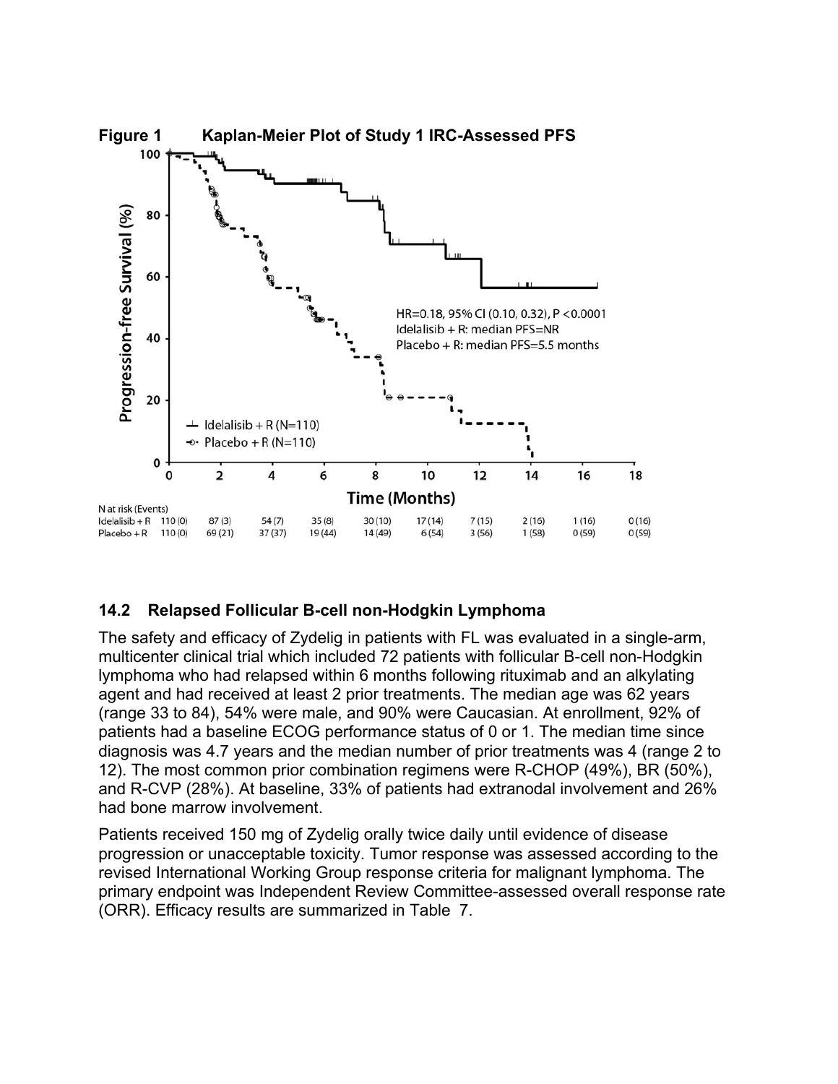

#### **14.2 Relapsed Follicular B-cell non-Hodgkin Lymphoma**

The safety and efficacy of Zydelig in patients with FL was evaluated in a single-arm, multicenter clinical trial which included 72 patients with follicular B-cell non-Hodgkin lymphoma who had relapsed within 6 months following rituximab and an alkylating agent and had received at least 2 prior treatments. The median age was 62 years (range 33 to 84), 54% were male, and 90% were Caucasian. At enrollment, 92% of patients had a baseline ECOG performance status of 0 or 1. The median time since diagnosis was 4.7 years and the median number of prior treatments was 4 (range 2 to 12). The most common prior combination regimens were R-CHOP (49%), BR (50%), and R-CVP (28%). At baseline, 33% of patients had extranodal involvement and 26% had bone marrow involvement.

Patients received 150 mg of Zydelig orally twice daily until evidence of disease progression or unacceptable toxicity. Tumor response was assessed according to the revised International Working Group response criteria for malignant lymphoma. The primary endpoint was Independent Review Committee-assessed overall response rate (ORR). Efficacy results are summarized in [Table](#page-19-0) 7.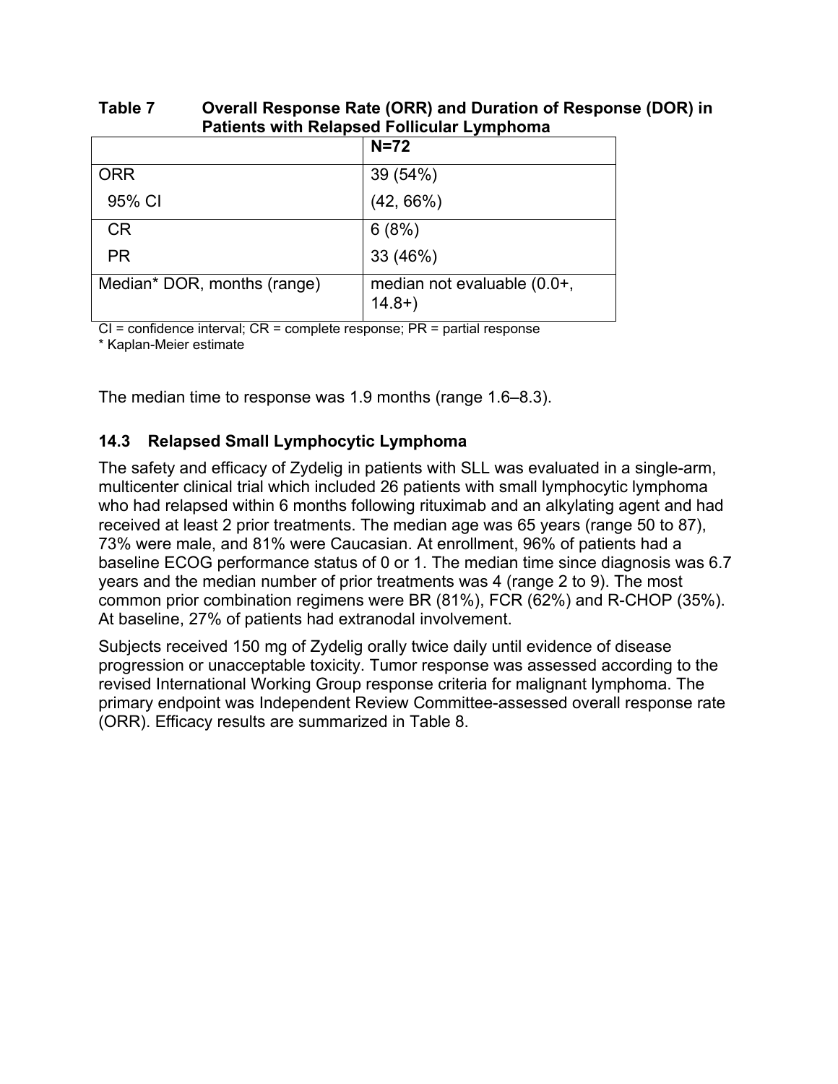| <b>Patients with Relapsed Follicular Lymphoma</b> |                                        |  |
|---------------------------------------------------|----------------------------------------|--|
|                                                   | $N=72$                                 |  |
| <b>ORR</b>                                        | 39 (54%)                               |  |
| 95% CI                                            | $(42, 66\%)$                           |  |
| <b>CR</b>                                         | 6(8%)                                  |  |
| <b>PR</b>                                         | 33 (46%)                               |  |
| Median* DOR, months (range)                       | median not evaluable (0.0+,<br>$14.8+$ |  |

# <span id="page-19-0"></span>**Table 7 Overall Response Rate (ORR) and Duration of Response (DOR) in**

 $Cl =$  confidence interval;  $CR =$  complete response;  $PR =$  partial response

\* Kaplan-Meier estimate

The median time to response was 1.9 months (range 1.6–8.3).

#### **14.3 Relapsed Small Lymphocytic Lymphoma**

The safety and efficacy of Zydelig in patients with SLL was evaluated in a single-arm, multicenter clinical trial which included 26 patients with small lymphocytic lymphoma who had relapsed within 6 months following rituximab and an alkylating agent and had received at least 2 prior treatments. The median age was 65 years (range 50 to 87), 73% were male, and 81% were Caucasian. At enrollment, 96% of patients had a baseline ECOG performance status of 0 or 1. The median time since diagnosis was 6.7 years and the median number of prior treatments was 4 (range 2 to 9). The most common prior combination regimens were BR (81%), FCR (62%) and R-CHOP (35%). At baseline, 27% of patients had extranodal involvement.

Subjects received 150 mg of Zydelig orally twice daily until evidence of disease progression or unacceptable toxicity. Tumor response was assessed according to the revised International Working Group response criteria for malignant lymphoma. The primary endpoint was Independent Review Committee-assessed overall response rate (ORR). Efficacy results are summarized in Table 8.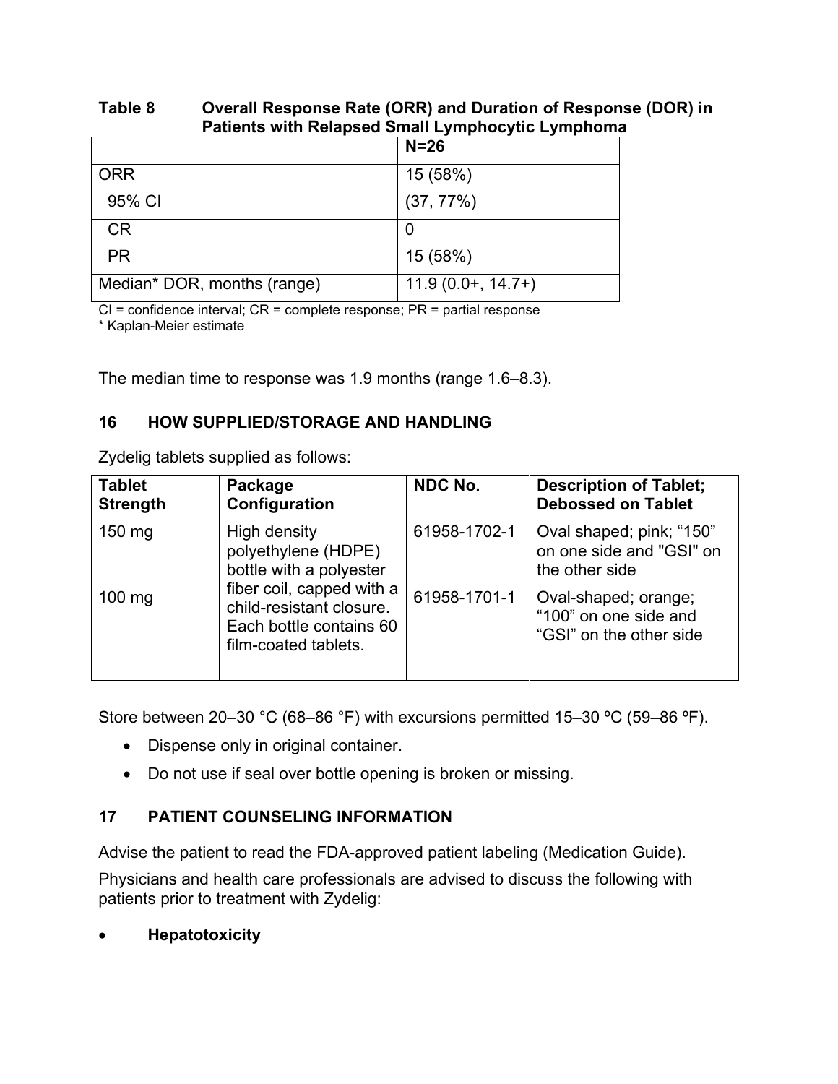#### **Table 8 Overall Response Rate (ORR) and Duration of Response (DOR) in Patients with Relapsed Small Lymphocytic Lymphoma**

|                             | $N=26$              |
|-----------------------------|---------------------|
| <b>ORR</b>                  | 15 (58%)            |
| 95% CI                      | (37, 77%)           |
| <b>CR</b>                   | O                   |
| <b>PR</b>                   | 15 (58%)            |
| Median* DOR, months (range) | $11.9(0.0+, 14.7+)$ |

CI = confidence interval; CR = complete response; PR = partial response

\* Kaplan-Meier estimate

The median time to response was 1.9 months (range 1.6–8.3).

### **16 HOW SUPPLIED/STORAGE AND HANDLING**

Zydelig tablets supplied as follows:

| <b>Tablet</b><br><b>Strength</b> | Package<br>Configuration                                                                                 | <b>NDC No.</b> | <b>Description of Tablet;</b><br><b>Debossed on Tablet</b>               |
|----------------------------------|----------------------------------------------------------------------------------------------------------|----------------|--------------------------------------------------------------------------|
| 150 mg                           | High density<br>polyethylene (HDPE)<br>bottle with a polyester                                           | 61958-1702-1   | Oval shaped; pink; "150"<br>on one side and "GSI" on<br>the other side   |
| $100$ mg                         | fiber coil, capped with a<br>child-resistant closure.<br>Each bottle contains 60<br>film-coated tablets. | 61958-1701-1   | Oval-shaped; orange;<br>"100" on one side and<br>"GSI" on the other side |

Store between 20–30 °C (68–86 °F) with excursions permitted 15–30 ºC (59–86 ºF).

- Dispense only in original container.
- Do not use if seal over bottle opening is broken or missing.

# **17 PATIENT COUNSELING INFORMATION**

Advise the patient to read the FDA-approved patient labeling (Medication Guide).

Physicians and health care professionals are advised to discuss the following with patients prior to treatment with Zydelig:

x **Hepatotoxicity**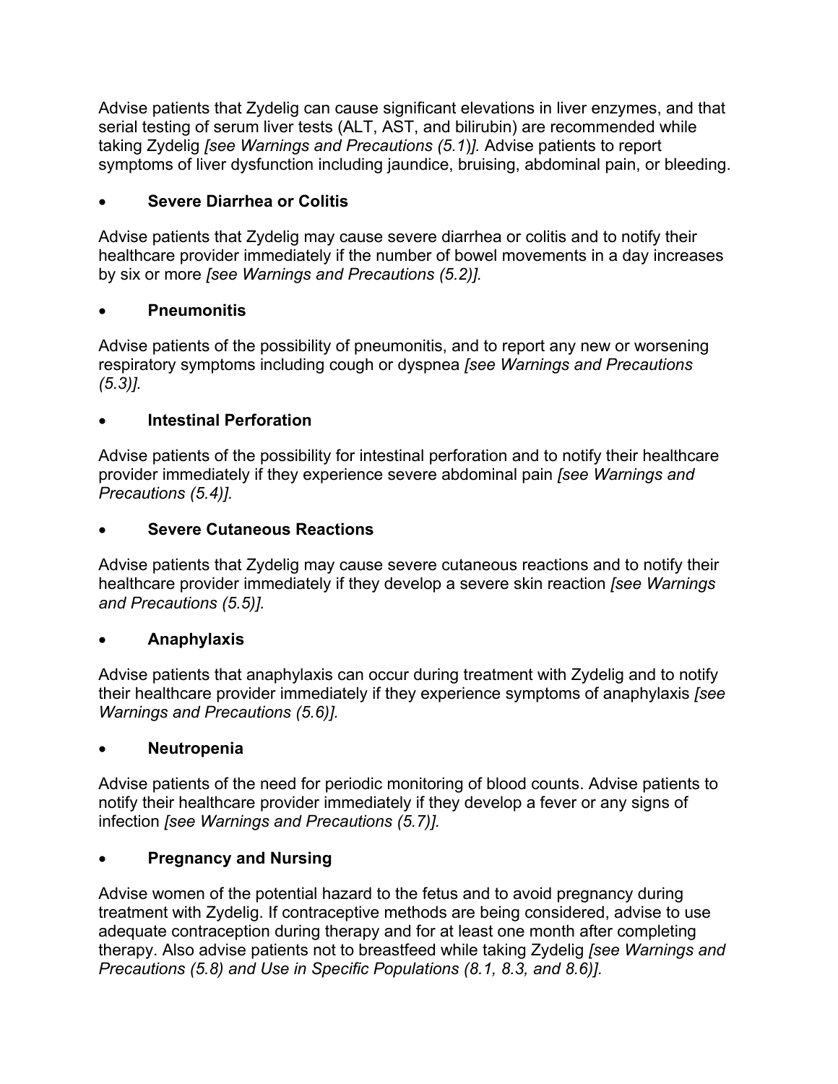Advise patients that Zydelig can cause significant elevations in liver enzymes, and that serial testing of serum liver tests (ALT, AST, and bilirubin) are recommended while taking Zydelig *[see Warnings and Precautions (5.1*)*].* Advise patients to report symptoms of liver dysfunction including jaundice, bruising, abdominal pain, or bleeding.

# x **Severe Diarrhea or Colitis**

Advise patients that Zydelig may cause severe diarrhea or colitis and to notify their healthcare provider immediately if the number of bowel movements in a day increases by six or more *[see Warnings and Precautions (5.2)].*

### **Pneumonitis**

Advise patients of the possibility of pneumonitis, and to report any new or worsening respiratory symptoms including cough or dyspnea *[see Warnings and Precautions (5.3)].*

# **Intestinal Perforation**

Advise patients of the possibility for intestinal perforation and to notify their healthcare provider immediately if they experience severe abdominal pain *[see Warnings and Precautions (5.4)].*

# **Severe Cutaneous Reactions**

Advise patients that Zydelig may cause severe cutaneous reactions and to notify their healthcare provider immediately if they develop a severe skin reaction *[see Warnings and Precautions (5.5)].*

# x **Anaphylaxis**

Advise patients that anaphylaxis can occur during treatment with Zydelig and to notify their healthcare provider immediately if they experience symptoms of anaphylaxis *[see Warnings and Precautions (5.6)].*

# x **Neutropenia**

Advise patients of the need for periodic monitoring of blood counts. Advise patients to notify their healthcare provider immediately if they develop a fever or any signs of infection *[see Warnings and Precautions (5.7)].*

# **Pregnancy and Nursing**

Advise women of the potential hazard to the fetus and to avoid pregnancy during treatment with Zydelig. If contraceptive methods are being considered, advise to use adequate contraception during therapy and for at least one month after completing therapy. Also advise patients not to breastfeed while taking Zydelig *[see Warnings and Precautions (5.8) and Use in Specific Populations (8.1, 8.3, and 8.6)].*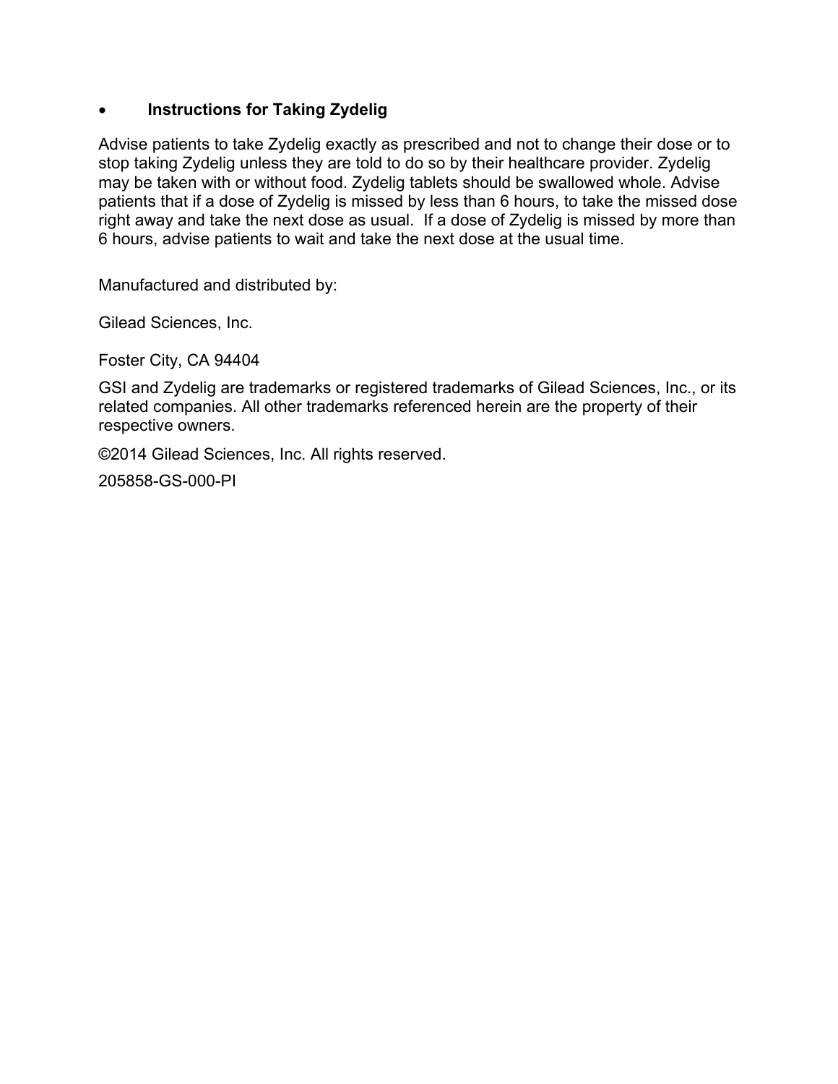#### **Instructions for Taking Zydelig**

Advise patients to take Zydelig exactly as prescribed and not to change their dose or to stop taking Zydelig unless they are told to do so by their healthcare provider. Zydelig may be taken with or without food. Zydelig tablets should be swallowed whole. Advise patients that if a dose of Zydelig is missed by less than 6 hours, to take the missed dose right away and take the next dose as usual. If a dose of Zydelig is missed by more than 6 hours, advise patients to wait and take the next dose at the usual time.

Manufactured and distributed by:

Gilead Sciences, Inc.

Foster City, CA 94404

GSI and Zydelig are trademarks or registered trademarks of Gilead Sciences, Inc., or its related companies. All other trademarks referenced herein are the property of their respective owners.

©2014 Gilead Sciences, Inc. All rights reserved.

205858-GS-000-PI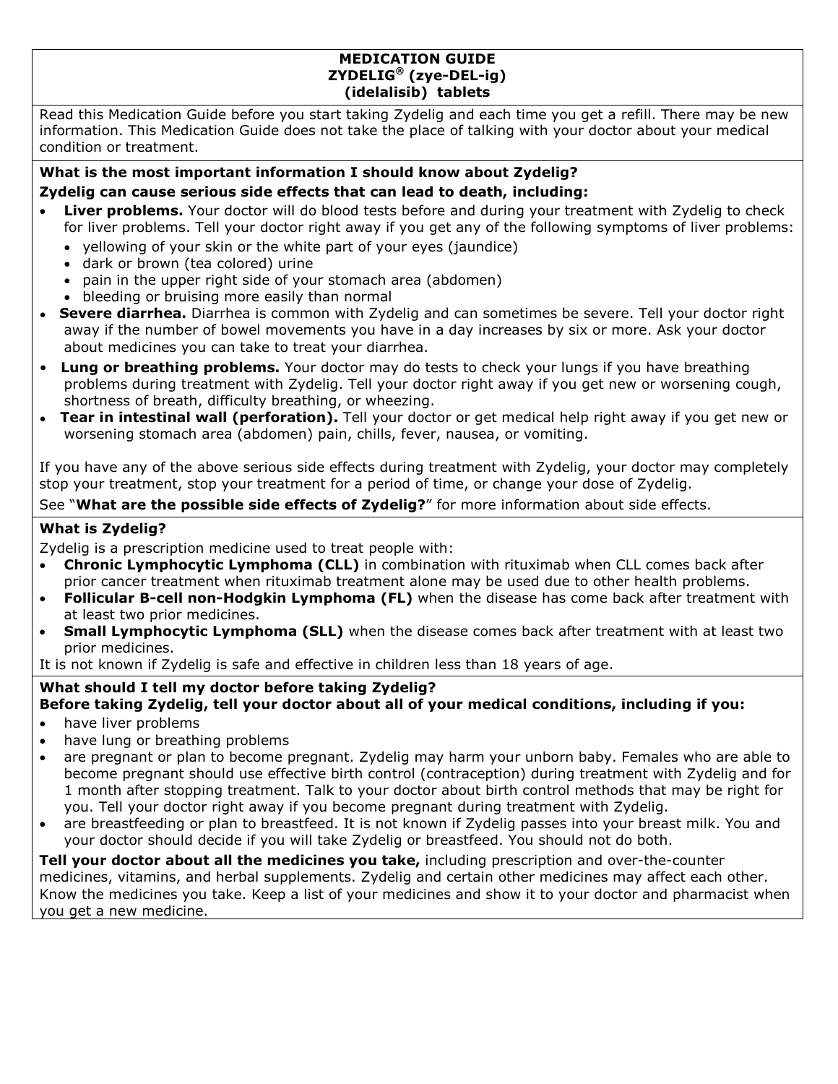#### **MEDICATION GUIDE ZYDELIG® (zye-DEL-ig) (idelalisib) tablets**

Read this Medication Guide before you start taking Zydelig and each time you get a refill. There may be new information. This Medication Guide does not take the place of talking with your doctor about your medical condition or treatment.

#### **What is the most important information I should know about Zydelig?**

#### **Zydelig can cause serious side effects that can lead to death, including:**

- Liver problems. Your doctor will do blood tests before and during your treatment with Zydelig to check for liver problems. Tell your doctor right away if you get any of the following symptoms of liver problems:
	- yellowing of your skin or the white part of your eyes (jaundice)
	- dark or brown (tea colored) urine
	- pain in the upper right side of your stomach area (abdomen)
	- bleeding or bruising more easily than normal
- Severe diarrhea. Diarrhea is common with Zydelig and can sometimes be severe. Tell your doctor right away if the number of bowel movements you have in a day increases by six or more. Ask your doctor about medicines you can take to treat your diarrhea.
- • **Lung or breathing problems.** Your doctor may do tests to check your lungs if you have breathing problems during treatment with Zydelig. Tell your doctor right away if you get new or worsening cough, shortness of breath, difficulty breathing, or wheezing.
- Tear in intestinal wall (perforation). Tell your doctor or get medical help right away if you get new or worsening stomach area (abdomen) pain, chills, fever, nausea, or vomiting.

If you have any of the above serious side effects during treatment with Zydelig, your doctor may completely stop your treatment, stop your treatment for a period of time, or change your dose of Zydelig.

#### See "**What are the possible side effects of Zydelig?**" for more information about side effects.

#### **What is Zydelig?**

Zydelig is a prescription medicine used to treat people with:

- **Chronic Lymphocytic Lymphoma (CLL)** in combination with rituximab when CLL comes back after prior cancer treatment when rituximab treatment alone may be used due to other health problems.
- **Follicular B-cell non-Hodgkin Lymphoma (FL)** when the disease has come back after treatment with at least two prior medicines.
- **Small Lymphocytic Lymphoma (SLL)** when the disease comes back after treatment with at least two prior medicines.

It is not known if Zydelig is safe and effective in children less than 18 years of age.

#### **What should I tell my doctor before taking Zydelig? Before taking Zydelig, tell your doctor about all of your medical conditions, including if you:**

- have liver problems
- have lung or breathing problems
- are pregnant or plan to become pregnant. Zydelig may harm your unborn baby. Females who are able to become pregnant should use effective birth control (contraception) during treatment with Zydelig and for 1 month after stopping treatment. Talk to your doctor about birth control methods that may be right for you. Tell your doctor right away if you become pregnant during treatment with Zydelig.
- are breastfeeding or plan to breastfeed. It is not known if Zydelig passes into your breast milk. You and your doctor should decide if you will take Zydelig or breastfeed. You should not do both.

**Tell your doctor about all the medicines you take,** including prescription and over-the-counter medicines, vitamins, and herbal supplements. Zydelig and certain other medicines may affect each other. Know the medicines you take. Keep a list of your medicines and show it to your doctor and pharmacist when you get a new medicine.